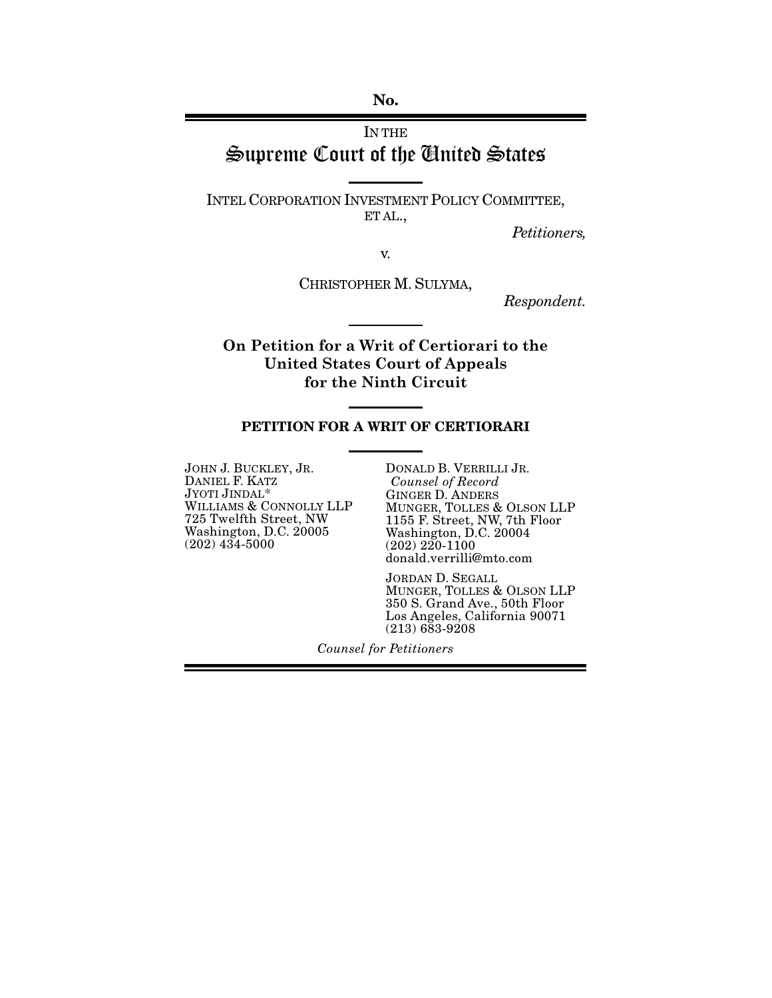No.

# IN THE Supreme Court of the United States

INTEL CORPORATION INVESTMENT POLICY COMMITTEE, ET AL.,

*Petitioners,*

v.

CHRISTOPHER M. SULYMA,

*Respondent.*

**On Petition for a Writ of Certiorari to the United States Court of Appeals for the Ninth Circuit**

#### PETITION FOR A WRIT OF CERTIORARI

JOHN J. BUCKLEY, JR. DANIEL F. KATZ JYOTI JINDAL\* WILLIAMS & CONNOLLY LLP 725 Twelfth Street, NW Washington, D.C. 20005  $(202)$  434-5000

DONALD B. VERRILLI JR. *Counsel of Record* GINGER D. ANDERS MUNGER, TOLLES & OLSON LLP 1155 F. Street, NW, 7th Floor Washington, D.C. 20004 (202) 220-1100 donald.verrilli@mto.com

JORDAN D. SEGALL MUNGER, TOLLES & OLSON LLP 350 S. Grand Ave., 50th Floor Los Angeles, California 90071 (213) 683-9208

*Counsel for Petitioners*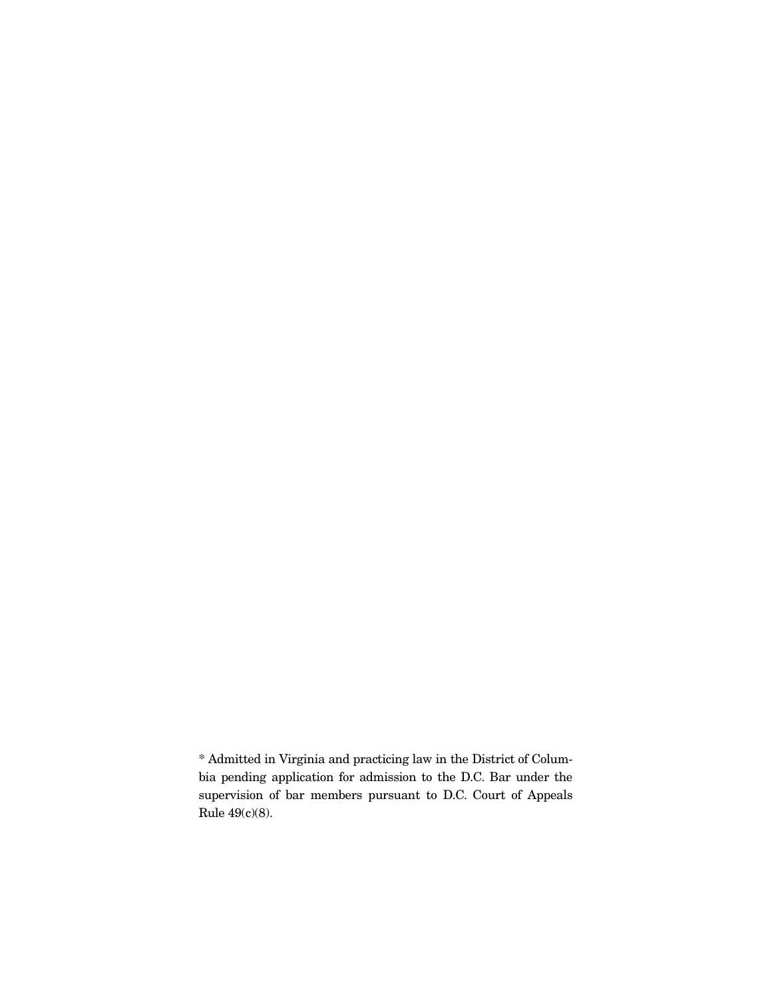\* Admitted in Virginia and practicing law in the District of Columbia pending application for admission to the D.C. Bar under the supervision of bar members pursuant to D.C. Court of Appeals Rule 49(c)(8).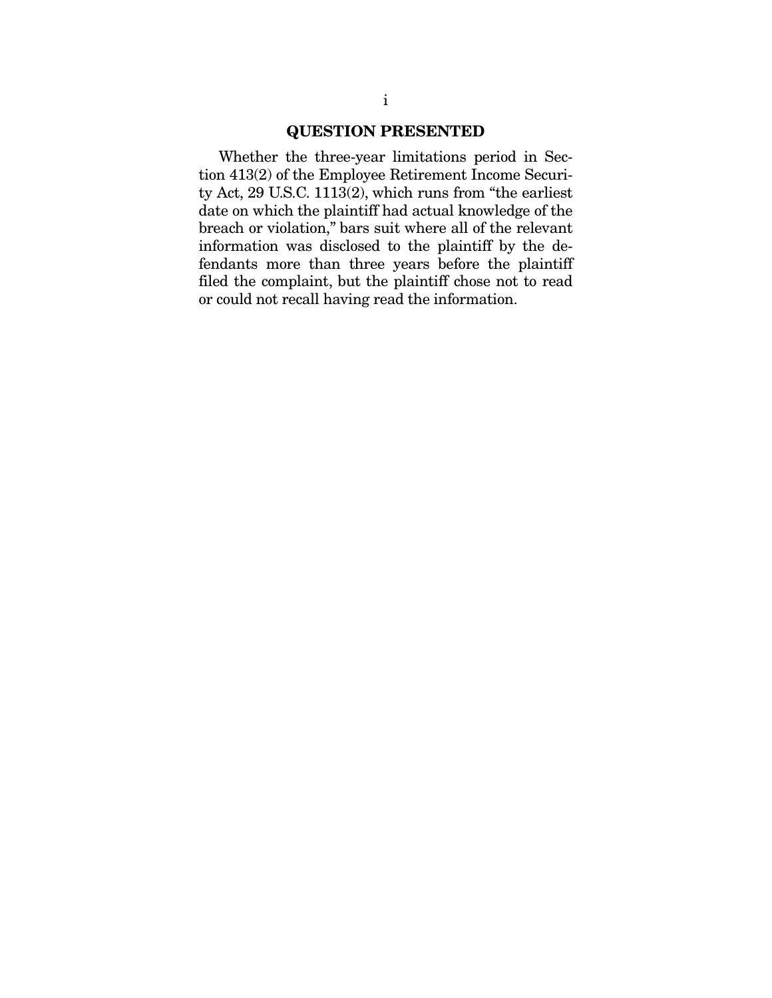#### QUESTION PRESENTED

Whether the three-year limitations period in Section 413(2) of the Employee Retirement Income Security Act, 29 U.S.C. 1113(2), which runs from "the earliest date on which the plaintiff had actual knowledge of the breach or violation," bars suit where all of the relevant information was disclosed to the plaintiff by the defendants more than three years before the plaintiff filed the complaint, but the plaintiff chose not to read or could not recall having read the information.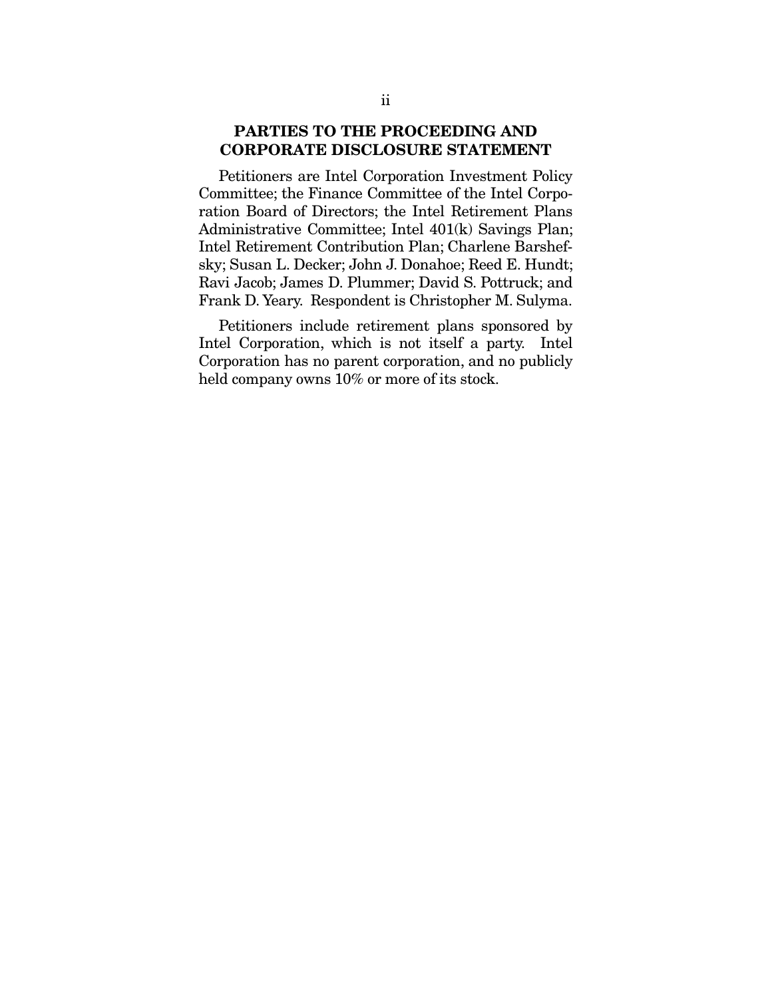### PARTIES TO THE PROCEEDING AND CORPORATE DISCLOSURE STATEMENT

Petitioners are Intel Corporation Investment Policy Committee; the Finance Committee of the Intel Corporation Board of Directors; the Intel Retirement Plans Administrative Committee; Intel 401(k) Savings Plan; Intel Retirement Contribution Plan; Charlene Barshefsky; Susan L. Decker; John J. Donahoe; Reed E. Hundt; Ravi Jacob; James D. Plummer; David S. Pottruck; and Frank D. Yeary. Respondent is Christopher M. Sulyma.

Petitioners include retirement plans sponsored by Intel Corporation, which is not itself a party. Intel Corporation has no parent corporation, and no publicly held company owns  $10\%$  or more of its stock.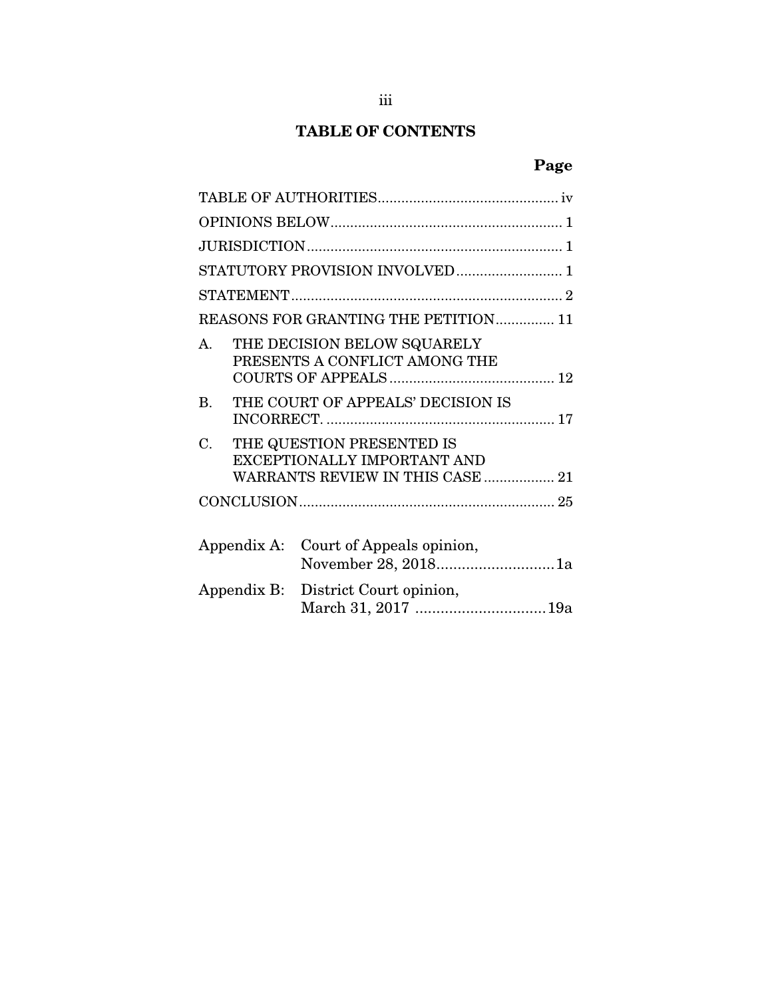# TABLE OF CONTENTS

# Page

| STATUTORY PROVISION INVOLVED 1       |  |                                                                                              |  |  |  |
|--------------------------------------|--|----------------------------------------------------------------------------------------------|--|--|--|
|                                      |  |                                                                                              |  |  |  |
| REASONS FOR GRANTING THE PETITION 11 |  |                                                                                              |  |  |  |
| $\mathbf{A}$                         |  | THE DECISION BELOW SQUARELY<br>PRESENTS A CONFLICT AMONG THE                                 |  |  |  |
| $\bf{B}$                             |  | THE COURT OF APPEALS' DECISION IS                                                            |  |  |  |
| C.                                   |  | THE QUESTION PRESENTED IS<br>EXCEPTIONALLY IMPORTANT AND<br>WARRANTS REVIEW IN THIS CASE  21 |  |  |  |
|                                      |  |                                                                                              |  |  |  |
| Appendix A:                          |  | Court of Appeals opinion,<br>November 28, 20181a                                             |  |  |  |
| Appendix B:                          |  | District Court opinion,<br>March 31, 2017 19a                                                |  |  |  |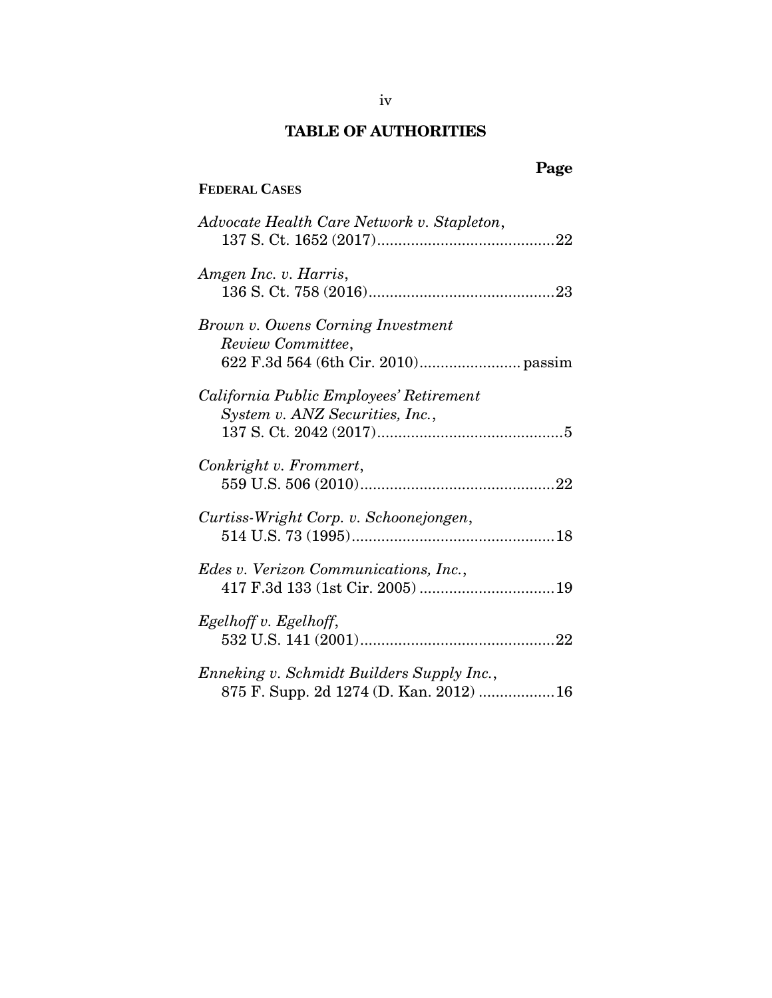# TABLE OF AUTHORITIES

## <span id="page-5-0"></span>**FEDERAL CASES**

# Page

| Advocate Health Care Network v. Stapleton,                                          |
|-------------------------------------------------------------------------------------|
| Amgen Inc. v. Harris,                                                               |
| Brown v. Owens Corning Investment<br>Review Committee,                              |
| California Public Employees' Retirement<br>System v. ANZ Securities, Inc.,          |
| Conkright v. Frommert,                                                              |
| Curtiss-Wright Corp. v. Schoonejongen,                                              |
| Edes v. Verizon Communications, Inc.,                                               |
| Egelhoff v. Egelhoff,                                                               |
| Enneking v. Schmidt Builders Supply Inc.,<br>875 F. Supp. 2d 1274 (D. Kan. 2012) 16 |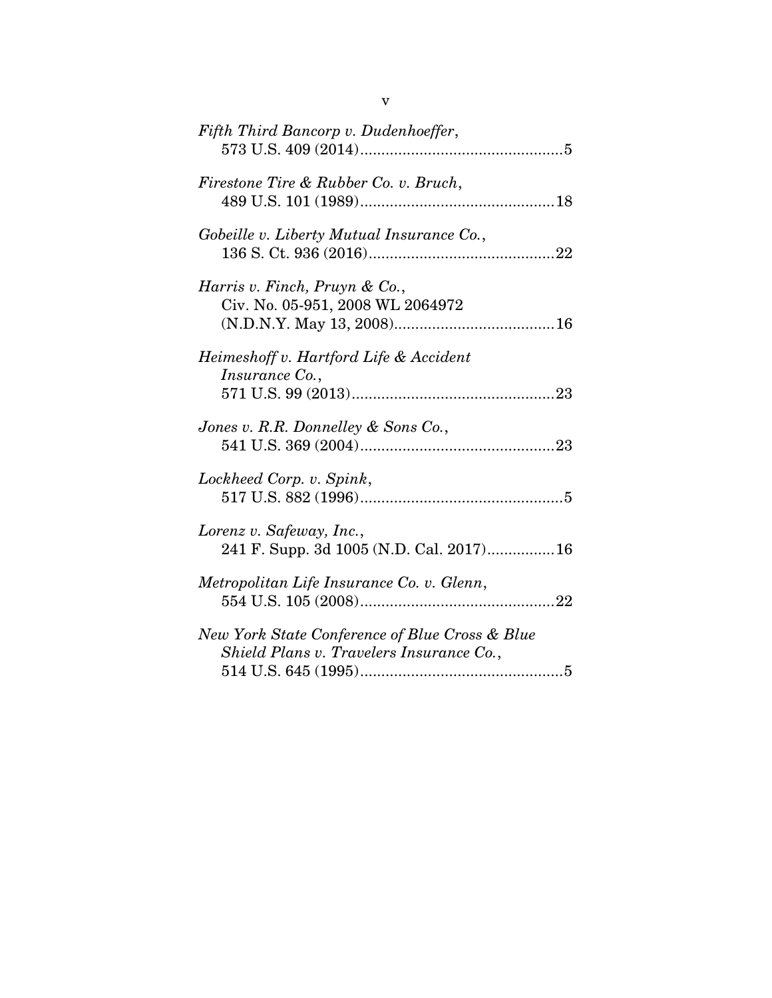| Fifth Third Bancorp v. Dudenhoeffer,                                                       |
|--------------------------------------------------------------------------------------------|
| Firestone Tire & Rubber Co. v. Bruch,                                                      |
| Gobeille v. Liberty Mutual Insurance Co.,                                                  |
| Harris v. Finch, Pruyn & Co.,<br>Civ. No. 05-951, 2008 WL 2064972                          |
| Heimeshoff v. Hartford Life & Accident<br>Insurance Co.,                                   |
| Jones v. R.R. Donnelley & Sons Co.,                                                        |
| Lockheed Corp. v. Spink,                                                                   |
| Lorenz v. Safeway, Inc.,<br>241 F. Supp. 3d 1005 (N.D. Cal. 2017) 16                       |
| Metropolitan Life Insurance Co. v. Glenn,                                                  |
| New York State Conference of Blue Cross & Blue<br>Shield Plans v. Travelers Insurance Co., |
|                                                                                            |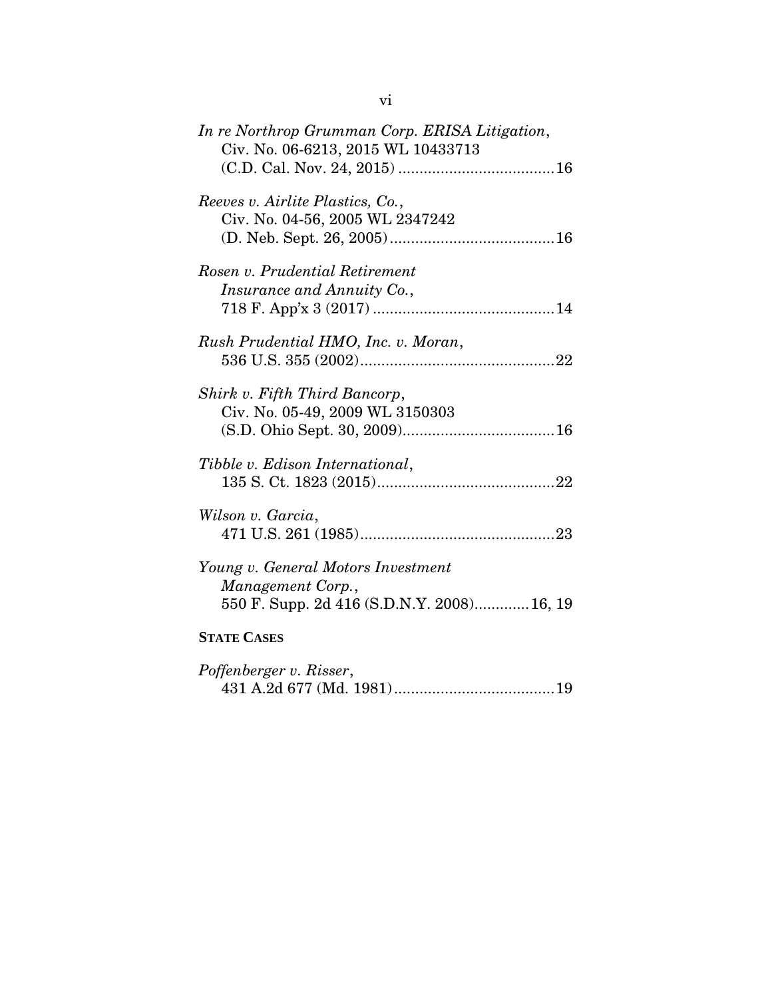| In re Northrop Grumman Corp. ERISA Litigation,<br>Civ. No. 06-6213, 2015 WL 10433713                  |
|-------------------------------------------------------------------------------------------------------|
| Reeves v. Airlite Plastics, Co.,<br>Civ. No. 04-56, 2005 WL 2347242                                   |
| Rosen v. Prudential Retirement<br>Insurance and Annuity Co.,                                          |
| Rush Prudential HMO, Inc. v. Moran,                                                                   |
| Shirk v. Fifth Third Bancorp,<br>Civ. No. 05-49, 2009 WL 3150303                                      |
| Tibble v. Edison International,                                                                       |
| Wilson v. Garcia,                                                                                     |
| Young v. General Motors Investment<br>Management Corp.,<br>550 F. Supp. 2d 416 (S.D.N.Y. 2008) 16, 19 |
| <b>STATE CASES</b>                                                                                    |
| Poffenberger v. Risser,                                                                               |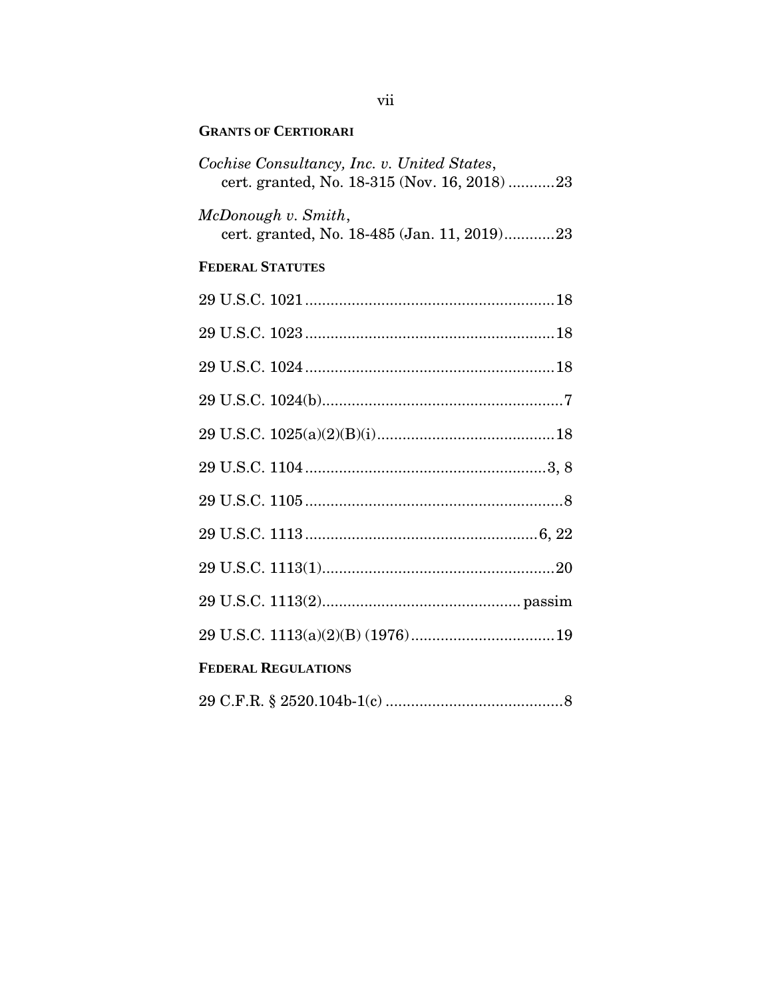#### **GRANTS OF CERTIORARI**

| Cochise Consultancy, Inc. v. United States,<br>cert. granted, No. 18-315 (Nov. 16, 2018) 23 |  |  |
|---------------------------------------------------------------------------------------------|--|--|
| McDonough v. Smith,<br>cert. granted, No. 18-485 (Jan. 11, 2019)23                          |  |  |
| <b>FEDERAL STATUTES</b>                                                                     |  |  |
|                                                                                             |  |  |
|                                                                                             |  |  |
|                                                                                             |  |  |
|                                                                                             |  |  |
|                                                                                             |  |  |
|                                                                                             |  |  |
|                                                                                             |  |  |
|                                                                                             |  |  |
|                                                                                             |  |  |
|                                                                                             |  |  |
|                                                                                             |  |  |
| <b>FEDERAL REGULATIONS</b>                                                                  |  |  |
|                                                                                             |  |  |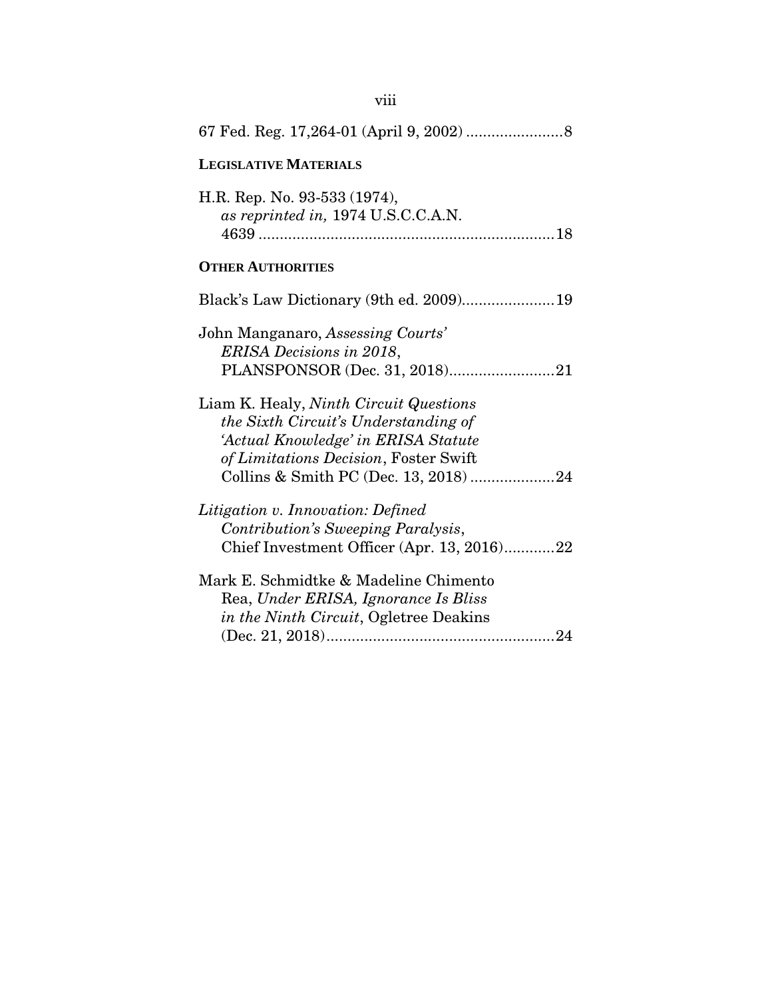| <b>LEGISLATIVE MATERIALS</b>                                                                                                                                                                            |
|---------------------------------------------------------------------------------------------------------------------------------------------------------------------------------------------------------|
| H.R. Rep. No. 93-533 (1974),<br>as reprinted in, 1974 U.S.C.C.A.N.                                                                                                                                      |
| <b>OTHER AUTHORITIES</b>                                                                                                                                                                                |
| Black's Law Dictionary (9th ed. 2009)19                                                                                                                                                                 |
| John Manganaro, Assessing Courts'<br><b>ERISA Decisions in 2018,</b><br>PLANSPONSOR (Dec. 31, 2018)21                                                                                                   |
| Liam K. Healy, Ninth Circuit Questions<br>the Sixth Circuit's Understanding of<br>'Actual Knowledge' in ERISA Statute<br>of Limitations Decision, Foster Swift<br>Collins & Smith PC (Dec. 13, 2018) 24 |
| Litigation v. Innovation: Defined<br>Contribution's Sweeping Paralysis,<br>Chief Investment Officer (Apr. 13, 2016)22                                                                                   |
| Mark E. Schmidtke & Madeline Chimento<br>Rea, Under ERISA, Ignorance Is Bliss<br>in the Ninth Circuit, Ogletree Deakins                                                                                 |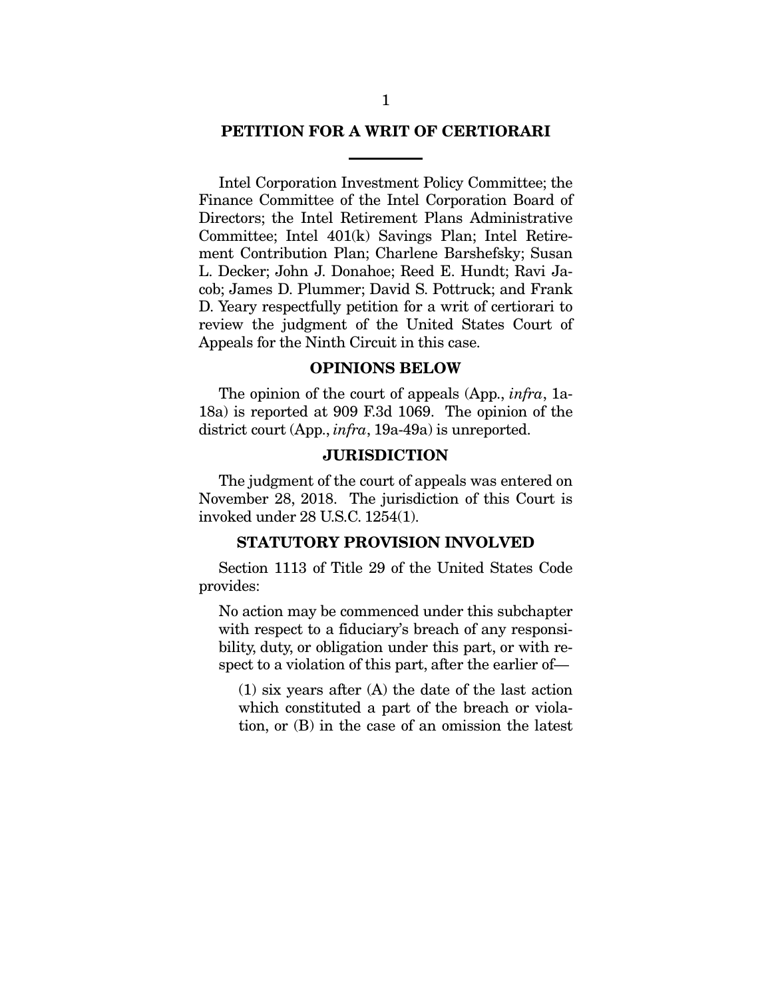#### PETITION FOR A WRIT OF CERTIORARI

Intel Corporation Investment Policy Committee; the Finance Committee of the Intel Corporation Board of Directors; the Intel Retirement Plans Administrative Committee; Intel 401(k) Savings Plan; Intel Retirement Contribution Plan; Charlene Barshefsky; Susan L. Decker; John J. Donahoe; Reed E. Hundt; Ravi Jacob; James D. Plummer; David S. Pottruck; and Frank D. Yeary respectfully petition for a writ of certiorari to review the judgment of the United States Court of Appeals for the Ninth Circuit in this case.

#### OPINIONS BELOW

<span id="page-10-0"></span>The opinion of the court of appeals (App., *infra*, 1a-18a) is reported at 909 F.3d 1069. The opinion of the district court (App., *infra*, 19a-49a) is unreported.

#### **JURISDICTION**

<span id="page-10-1"></span>The judgment of the court of appeals was entered on November 28, 2018. The jurisdiction of this Court is invoked under 28 U.S.C. 1254(1).

#### STATUTORY PROVISION INVOLVED

<span id="page-10-2"></span>Section 1113 of Title 29 of the United States Code provides:

No action may be commenced under this subchapter with respect to a fiduciary's breach of any responsibility, duty, or obligation under this part, or with respect to a violation of this part, after the earlier of—

(1) six years after (A) the date of the last action which constituted a part of the breach or violation, or (B) in the case of an omission the latest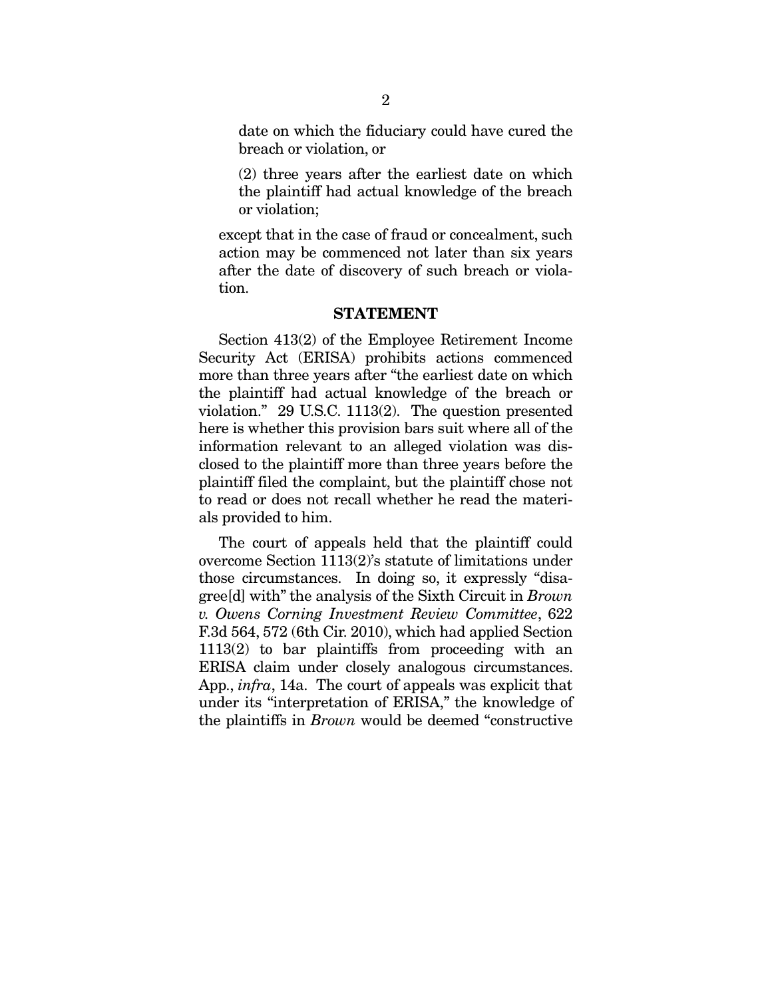date on which the fiduciary could have cured the breach or violation, or

(2) three years after the earliest date on which the plaintiff had actual knowledge of the breach or violation;

except that in the case of fraud or concealment, such action may be commenced not later than six years after the date of discovery of such breach or violation.

#### STATEMENT

<span id="page-11-0"></span>Section 413(2) of the Employee Retirement Income Security Act (ERISA) prohibits actions commenced more than three years after "the earliest date on which the plaintiff had actual knowledge of the breach or violation." 29 U.S.C. 1113(2). The question presented here is whether this provision bars suit where all of the information relevant to an alleged violation was disclosed to the plaintiff more than three years before the plaintiff filed the complaint, but the plaintiff chose not to read or does not recall whether he read the materials provided to him.

The court of appeals held that the plaintiff could overcome Section 1113(2)'s statute of limitations under those circumstances. In doing so, it expressly "disagree[d] with" the analysis of the Sixth Circuit in *Brown v. Owens Corning Investment Review Committee*, 622 F.3d 564, 572 (6th Cir. 2010), which had applied Section 1113(2) to bar plaintiffs from proceeding with an ERISA claim under closely analogous circumstances. App., *infra*, 14a. The court of appeals was explicit that under its "interpretation of ERISA," the knowledge of the plaintiffs in *Brown* would be deemed "constructive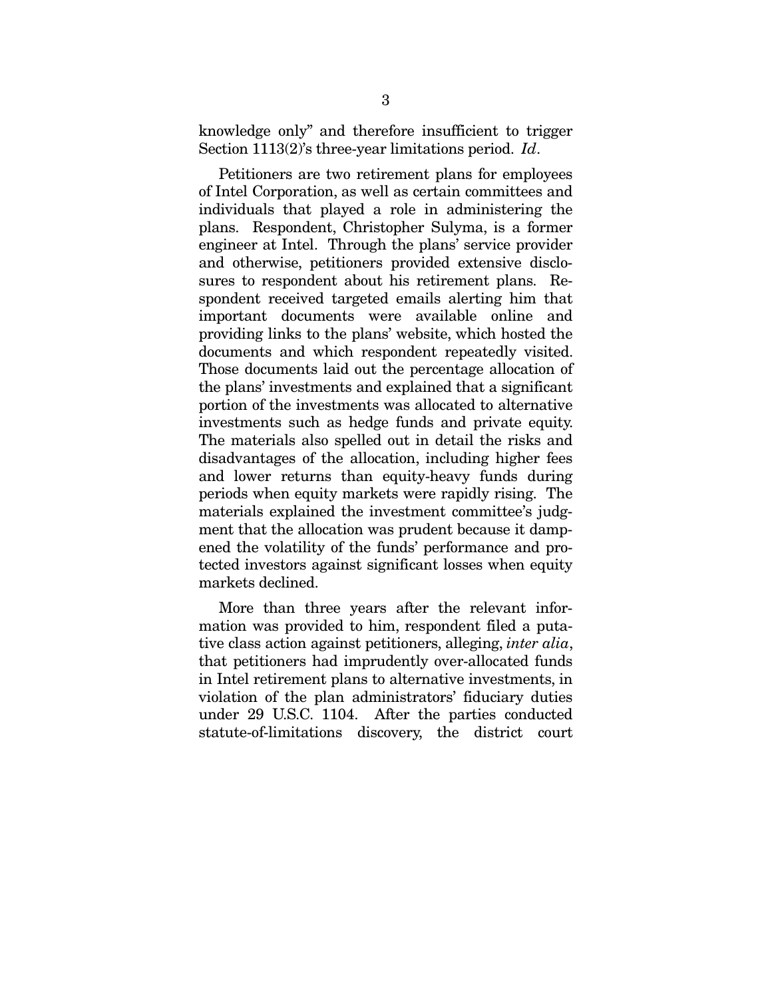knowledge only" and therefore insufficient to trigger Section 1113(2)'s three-year limitations period. *Id*.

Petitioners are two retirement plans for employees of Intel Corporation, as well as certain committees and individuals that played a role in administering the plans. Respondent, Christopher Sulyma, is a former engineer at Intel. Through the plans' service provider and otherwise, petitioners provided extensive disclosures to respondent about his retirement plans. Respondent received targeted emails alerting him that important documents were available online and providing links to the plans' website, which hosted the documents and which respondent repeatedly visited. Those documents laid out the percentage allocation of the plans' investments and explained that a significant portion of the investments was allocated to alternative investments such as hedge funds and private equity. The materials also spelled out in detail the risks and disadvantages of the allocation, including higher fees and lower returns than equity-heavy funds during periods when equity markets were rapidly rising. The materials explained the investment committee's judgment that the allocation was prudent because it dampened the volatility of the funds' performance and protected investors against significant losses when equity markets declined.

More than three years after the relevant information was provided to him, respondent filed a putative class action against petitioners, alleging, *inter alia*, that petitioners had imprudently over-allocated funds in Intel retirement plans to alternative investments, in violation of the plan administrators' fiduciary duties under 29 U.S.C. 1104. After the parties conducted statute-of-limitations discovery, the district court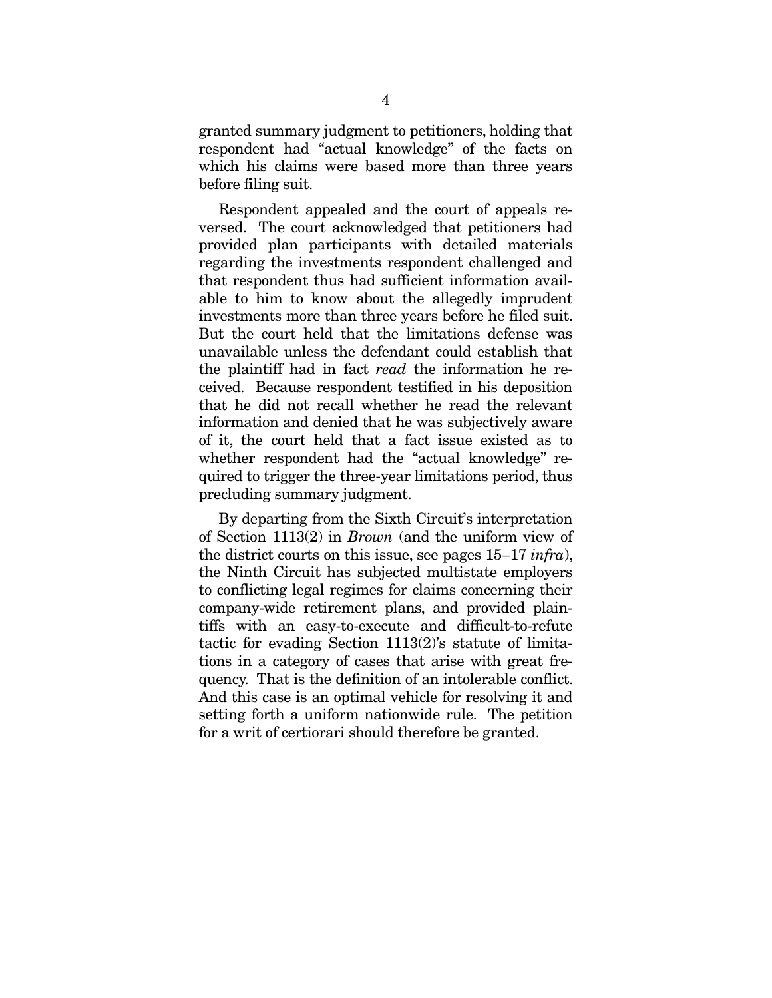granted summary judgment to petitioners, holding that respondent had "actual knowledge" of the facts on which his claims were based more than three years before filing suit.

Respondent appealed and the court of appeals reversed. The court acknowledged that petitioners had provided plan participants with detailed materials regarding the investments respondent challenged and that respondent thus had sufficient information available to him to know about the allegedly imprudent investments more than three years before he filed suit. But the court held that the limitations defense was unavailable unless the defendant could establish that the plaintiff had in fact *read* the information he received. Because respondent testified in his deposition that he did not recall whether he read the relevant information and denied that he was subjectively aware of it, the court held that a fact issue existed as to whether respondent had the "actual knowledge" required to trigger the three-year limitations period, thus precluding summary judgment.

By departing from the Sixth Circuit's interpretation of Section 1113(2) in *Brown* (and the uniform view of the district courts on this issue, see pages 15–17 *infra*), the Ninth Circuit has subjected multistate employers to conflicting legal regimes for claims concerning their company-wide retirement plans, and provided plaintiffs with an easy-to-execute and difficult-to-refute tactic for evading Section 1113(2)'s statute of limitations in a category of cases that arise with great frequency. That is the definition of an intolerable conflict. And this case is an optimal vehicle for resolving it and setting forth a uniform nationwide rule. The petition for a writ of certiorari should therefore be granted.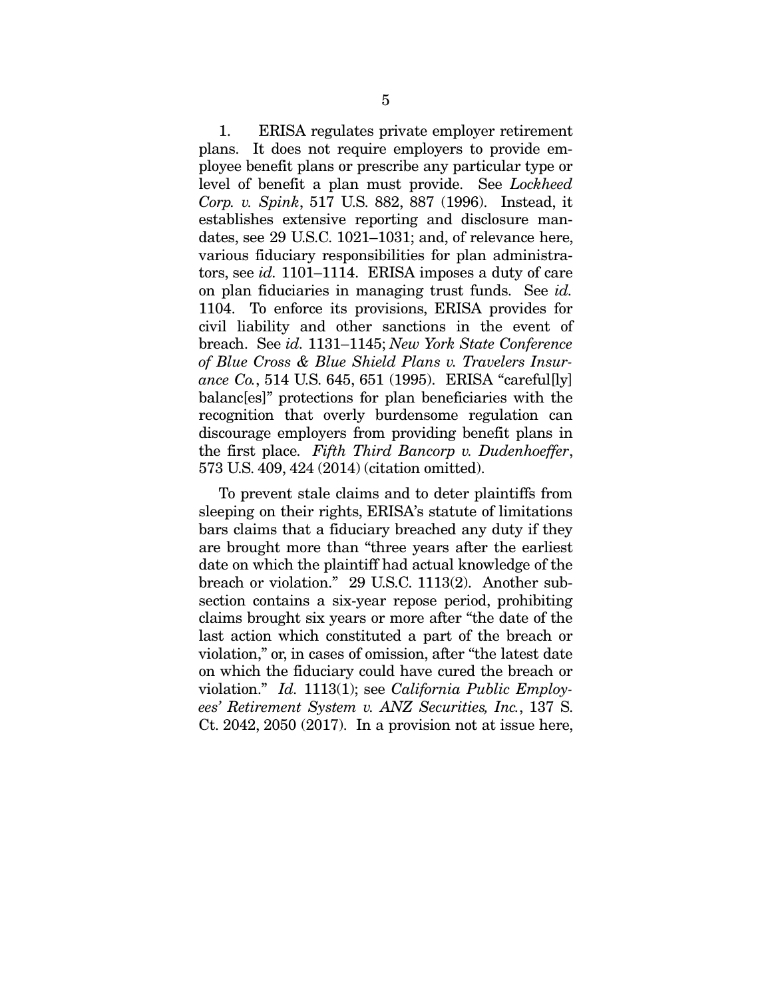1. ERISA regulates private employer retirement plans. It does not require employers to provide employee benefit plans or prescribe any particular type or level of benefit a plan must provide. See *Lockheed Corp. v. Spink*, 517 U.S. 882, 887 (1996). Instead, it establishes extensive reporting and disclosure mandates, see 29 U.S.C. 1021–1031; and, of relevance here, various fiduciary responsibilities for plan administrators, see *id.* 1101–1114. ERISA imposes a duty of care on plan fiduciaries in managing trust funds. See *id.* 1104. To enforce its provisions, ERISA provides for civil liability and other sanctions in the event of breach. See *id.* 1131–1145; *New York State Conference of Blue Cross & Blue Shield Plans v. Travelers Insurance Co.*, 514 U.S. 645, 651 (1995). ERISA "careful[ly] balanc[es]" protections for plan beneficiaries with the recognition that overly burdensome regulation can discourage employers from providing benefit plans in the first place. *Fifth Third Bancorp v. Dudenhoeffer*, 573 U.S. 409, 424 (2014) (citation omitted).

To prevent stale claims and to deter plaintiffs from sleeping on their rights, ERISA's statute of limitations bars claims that a fiduciary breached any duty if they are brought more than "three years after the earliest date on which the plaintiff had actual knowledge of the breach or violation." 29 U.S.C. 1113(2). Another subsection contains a six-year repose period, prohibiting claims brought six years or more after "the date of the last action which constituted a part of the breach or violation," or, in cases of omission, after "the latest date on which the fiduciary could have cured the breach or violation." *Id.* 1113(1); see *California Public Employees' Retirement System v. ANZ Securities, Inc.*, 137 S. Ct. 2042, 2050 (2017). In a provision not at issue here,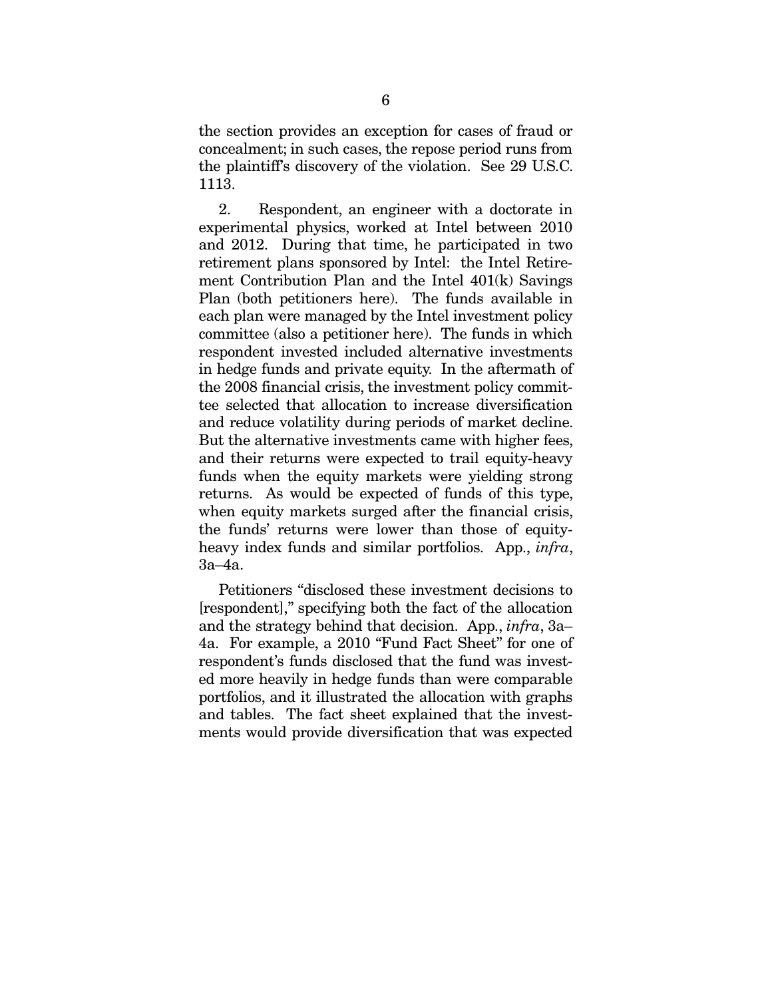the section provides an exception for cases of fraud or concealment; in such cases, the repose period runs from the plaintiff's discovery of the violation. See 29 U.S.C. 1113.

2. Respondent, an engineer with a doctorate in experimental physics, worked at Intel between 2010 and 2012. During that time, he participated in two retirement plans sponsored by Intel: the Intel Retirement Contribution Plan and the Intel 401(k) Savings Plan (both petitioners here). The funds available in each plan were managed by the Intel investment policy committee (also a petitioner here). The funds in which respondent invested included alternative investments in hedge funds and private equity. In the aftermath of the 2008 financial crisis, the investment policy committee selected that allocation to increase diversification and reduce volatility during periods of market decline. But the alternative investments came with higher fees, and their returns were expected to trail equity-heavy funds when the equity markets were yielding strong returns. As would be expected of funds of this type, when equity markets surged after the financial crisis, the funds' returns were lower than those of equityheavy index funds and similar portfolios. App., *infra*, 3a–4a.

Petitioners "disclosed these investment decisions to [respondent]," specifying both the fact of the allocation and the strategy behind that decision. App., *infra*, 3a– 4a. For example, a 2010 "Fund Fact Sheet" for one of respondent's funds disclosed that the fund was invested more heavily in hedge funds than were comparable portfolios, and it illustrated the allocation with graphs and tables. The fact sheet explained that the investments would provide diversification that was expected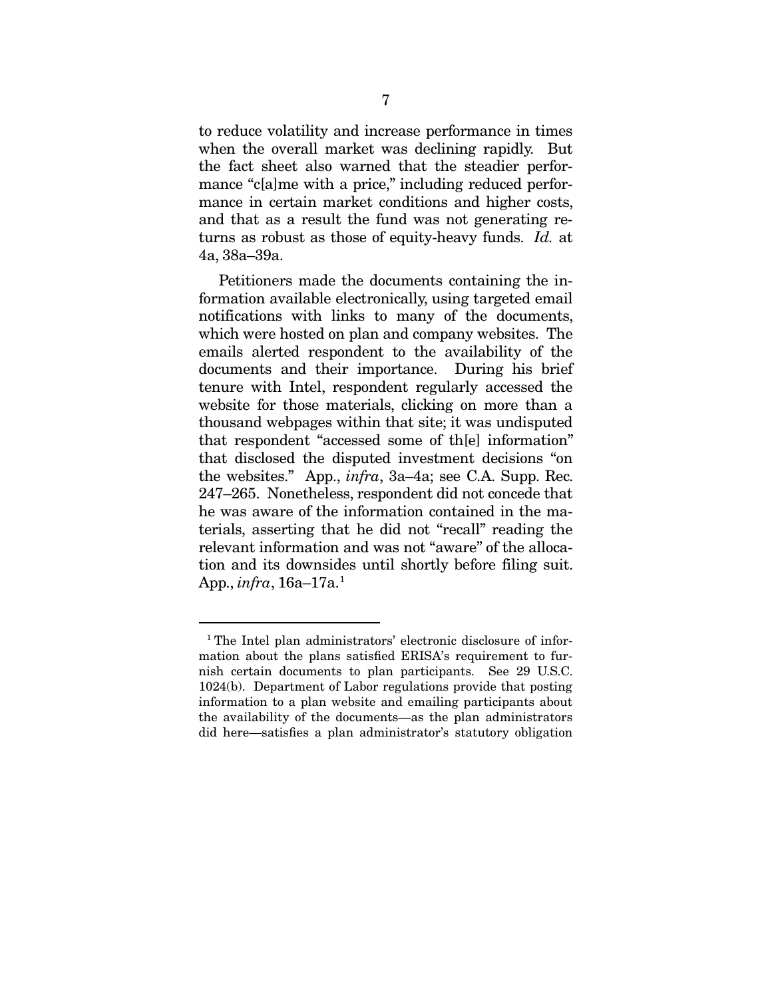to reduce volatility and increase performance in times when the overall market was declining rapidly. But the fact sheet also warned that the steadier performance "c[a]me with a price," including reduced performance in certain market conditions and higher costs, and that as a result the fund was not generating returns as robust as those of equity-heavy funds. *Id.* at 4a, 38a–39a.

Petitioners made the documents containing the information available electronically, using targeted email notifications with links to many of the documents, which were hosted on plan and company websites. The emails alerted respondent to the availability of the documents and their importance. During his brief tenure with Intel, respondent regularly accessed the website for those materials, clicking on more than a thousand webpages within that site; it was undisputed that respondent "accessed some of th[e] information" that disclosed the disputed investment decisions "on the websites." App., *infra*, 3a–4a; see C.A. Supp. Rec. 247–265. Nonetheless, respondent did not concede that he was aware of the information contained in the materials, asserting that he did not "recall" reading the relevant information and was not "aware" of the allocation and its downsides until shortly before filing suit. App., *infra*, 16a–17a.[1](#page-16-0)

<span id="page-16-0"></span> <sup>1</sup> The Intel plan administrators' electronic disclosure of information about the plans satisfied ERISA's requirement to furnish certain documents to plan participants. See 29 U.S.C. 1024(b). Department of Labor regulations provide that posting information to a plan website and emailing participants about the availability of the documents—as the plan administrators did here—satisfies a plan administrator's statutory obligation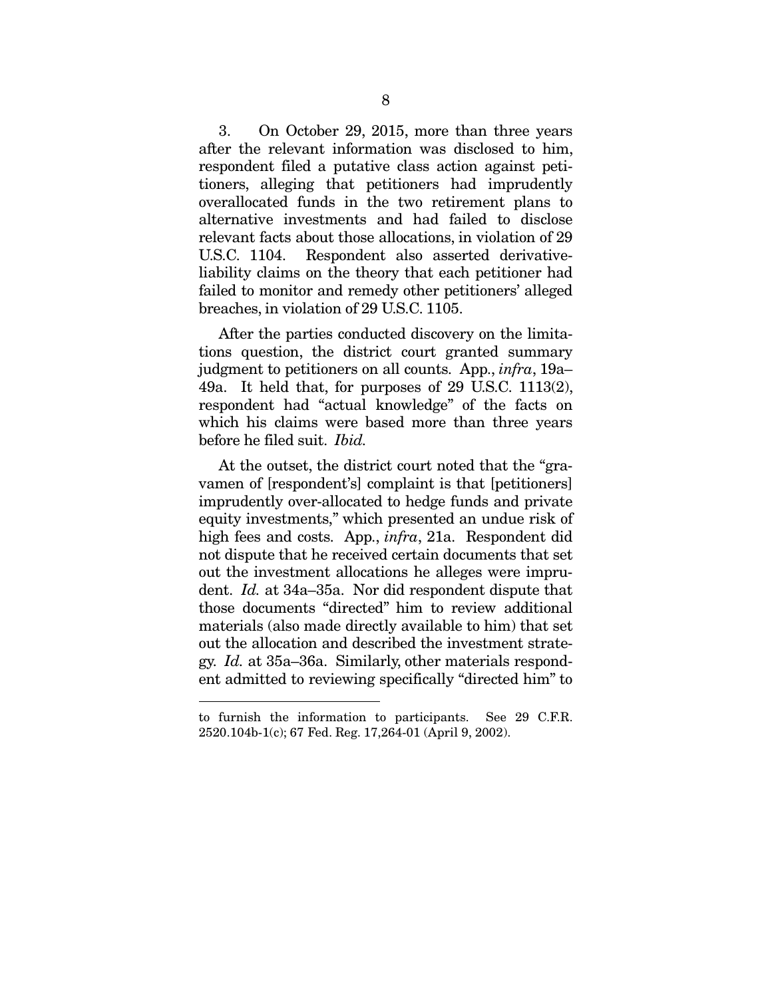3. On October 29, 2015, more than three years after the relevant information was disclosed to him, respondent filed a putative class action against petitioners, alleging that petitioners had imprudently overallocated funds in the two retirement plans to alternative investments and had failed to disclose relevant facts about those allocations, in violation of 29 U.S.C. 1104. Respondent also asserted derivativeliability claims on the theory that each petitioner had failed to monitor and remedy other petitioners' alleged breaches, in violation of 29 U.S.C. 1105.

After the parties conducted discovery on the limitations question, the district court granted summary judgment to petitioners on all counts. App., *infra*, 19a– 49a. It held that, for purposes of 29 U.S.C. 1113(2), respondent had "actual knowledge" of the facts on which his claims were based more than three years before he filed suit. *Ibid.*

At the outset, the district court noted that the "gravamen of [respondent's] complaint is that [petitioners] imprudently over-allocated to hedge funds and private equity investments," which presented an undue risk of high fees and costs. App., *infra*, 21a. Respondent did not dispute that he received certain documents that set out the investment allocations he alleges were imprudent. *Id.* at 34a–35a. Nor did respondent dispute that those documents "directed" him to review additional materials (also made directly available to him) that set out the allocation and described the investment strategy. *Id.* at 35a–36a. Similarly, other materials respondent admitted to reviewing specifically "directed him" to

 $\overline{a}$ 

to furnish the information to participants. See 29 C.F.R. 2520.104b-1(c); 67 Fed. Reg. 17,264-01 (April 9, 2002).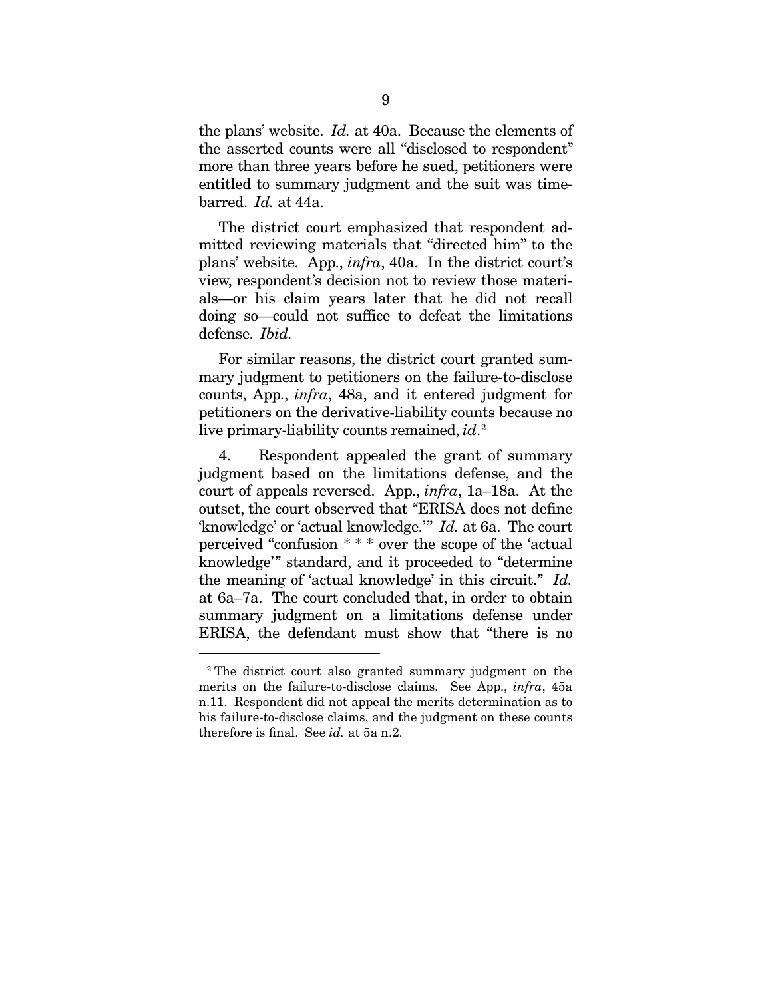the plans' website. *Id.* at 40a. Because the elements of the asserted counts were all "disclosed to respondent" more than three years before he sued, petitioners were entitled to summary judgment and the suit was timebarred. *Id.* at 44a.

The district court emphasized that respondent admitted reviewing materials that "directed him" to the plans' website. App., *infra*, 40a. In the district court's view, respondent's decision not to review those materials—or his claim years later that he did not recall doing so—could not suffice to defeat the limitations defense. *Ibid.*

For similar reasons, the district court granted summary judgment to petitioners on the failure-to-disclose counts, App., *infra*, 48a, and it entered judgment for petitioners on the derivative-liability counts because no live primary-liability counts remained, *id*. [2](#page-18-0)

4. Respondent appealed the grant of summary judgment based on the limitations defense, and the court of appeals reversed. App., *infra*, 1a–18a. At the outset, the court observed that "ERISA does not define 'knowledge' or 'actual knowledge.'" *Id.* at 6a. The court perceived "confusion \* \* \* over the scope of the 'actual knowledge'" standard, and it proceeded to "determine the meaning of 'actual knowledge' in this circuit." *Id.* at 6a–7a. The court concluded that, in order to obtain summary judgment on a limitations defense under ERISA, the defendant must show that "there is no

<span id="page-18-0"></span> <sup>2</sup> The district court also granted summary judgment on the merits on the failure-to-disclose claims. See App., *infra*, 45a n.11. Respondent did not appeal the merits determination as to his failure-to-disclose claims, and the judgment on these counts therefore is final. See *id.* at 5a n.2.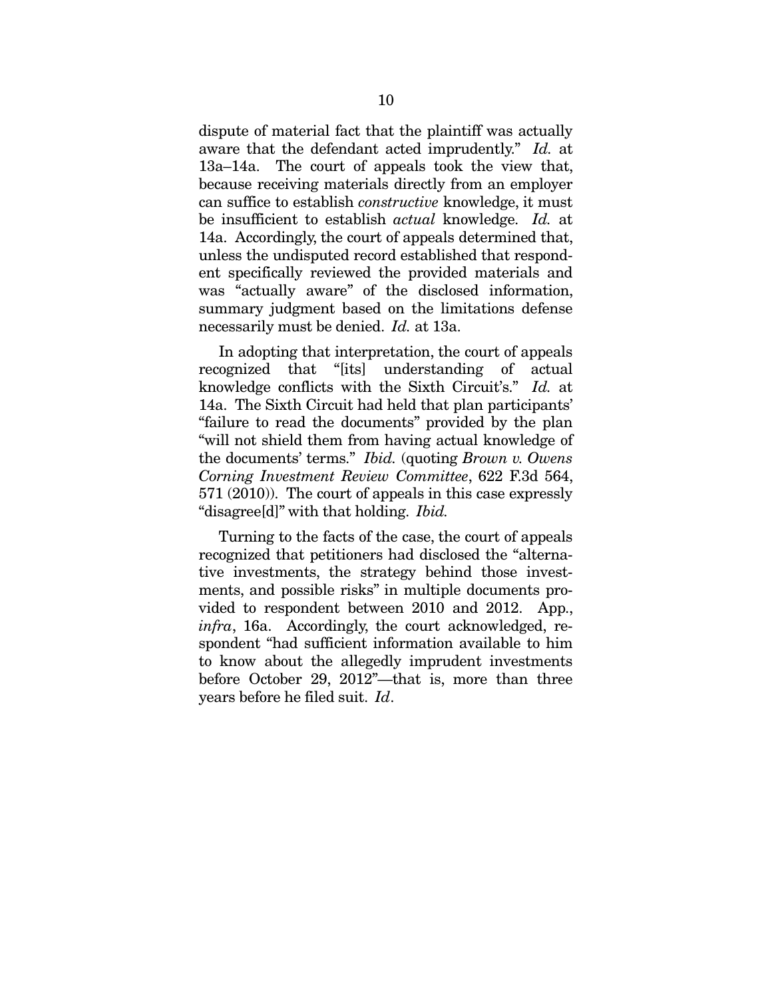dispute of material fact that the plaintiff was actually aware that the defendant acted imprudently." *Id.* at 13a–14a. The court of appeals took the view that, because receiving materials directly from an employer can suffice to establish *constructive* knowledge, it must be insufficient to establish *actual* knowledge. *Id.* at 14a. Accordingly, the court of appeals determined that, unless the undisputed record established that respondent specifically reviewed the provided materials and was "actually aware" of the disclosed information, summary judgment based on the limitations defense necessarily must be denied. *Id.* at 13a.

In adopting that interpretation, the court of appeals recognized that "[its] understanding of actual knowledge conflicts with the Sixth Circuit's." *Id.* at 14a. The Sixth Circuit had held that plan participants' "failure to read the documents" provided by the plan "will not shield them from having actual knowledge of the documents' terms." *Ibid.* (quoting *Brown v. Owens Corning Investment Review Committee*, 622 F.3d 564, 571 (2010)). The court of appeals in this case expressly "disagree[d]" with that holding. *Ibid.*

Turning to the facts of the case, the court of appeals recognized that petitioners had disclosed the "alternative investments, the strategy behind those investments, and possible risks" in multiple documents provided to respondent between 2010 and 2012. App., *infra*, 16a. Accordingly, the court acknowledged, respondent "had sufficient information available to him to know about the allegedly imprudent investments before October 29, 2012"—that is, more than three years before he filed suit. *Id*.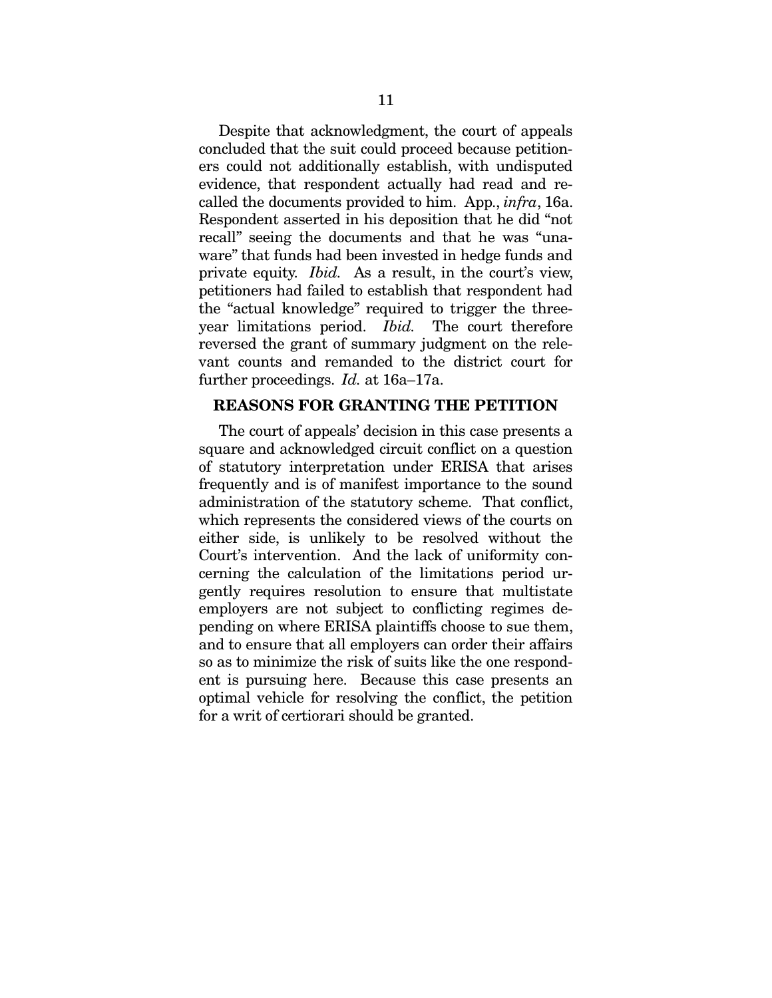Despite that acknowledgment, the court of appeals concluded that the suit could proceed because petitioners could not additionally establish, with undisputed evidence, that respondent actually had read and recalled the documents provided to him. App., *infra*, 16a. Respondent asserted in his deposition that he did "not recall" seeing the documents and that he was "unaware" that funds had been invested in hedge funds and private equity. *Ibid.* As a result, in the court's view, petitioners had failed to establish that respondent had the "actual knowledge" required to trigger the threeyear limitations period. *Ibid.* The court therefore reversed the grant of summary judgment on the relevant counts and remanded to the district court for further proceedings. *Id.* at 16a–17a.

#### <span id="page-20-0"></span>REASONS FOR GRANTING THE PETITION

The court of appeals' decision in this case presents a square and acknowledged circuit conflict on a question of statutory interpretation under ERISA that arises frequently and is of manifest importance to the sound administration of the statutory scheme. That conflict, which represents the considered views of the courts on either side, is unlikely to be resolved without the Court's intervention. And the lack of uniformity concerning the calculation of the limitations period urgently requires resolution to ensure that multistate employers are not subject to conflicting regimes depending on where ERISA plaintiffs choose to sue them, and to ensure that all employers can order their affairs so as to minimize the risk of suits like the one respondent is pursuing here. Because this case presents an optimal vehicle for resolving the conflict, the petition for a writ of certiorari should be granted.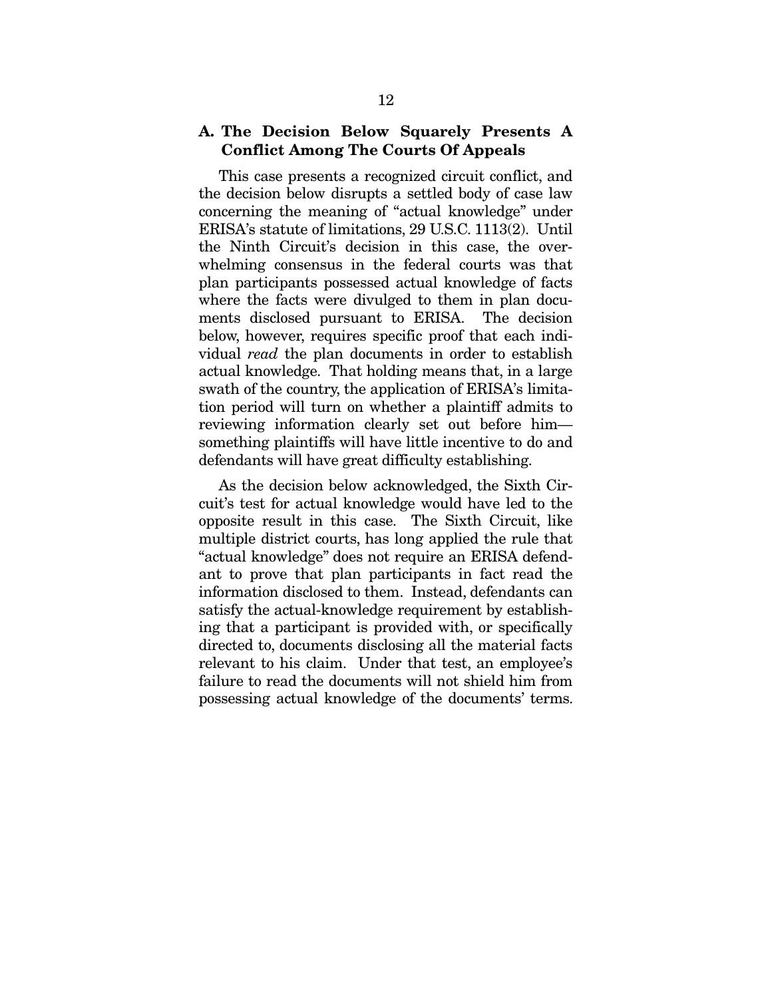### <span id="page-21-0"></span>A. The Decision Below Squarely Presents A Conflict Among The Courts Of Appeals

This case presents a recognized circuit conflict, and the decision below disrupts a settled body of case law concerning the meaning of "actual knowledge" under ERISA's statute of limitations, 29 U.S.C. 1113(2). Until the Ninth Circuit's decision in this case, the overwhelming consensus in the federal courts was that plan participants possessed actual knowledge of facts where the facts were divulged to them in plan documents disclosed pursuant to ERISA. The decision below, however, requires specific proof that each individual *read* the plan documents in order to establish actual knowledge. That holding means that, in a large swath of the country, the application of ERISA's limitation period will turn on whether a plaintiff admits to reviewing information clearly set out before him something plaintiffs will have little incentive to do and defendants will have great difficulty establishing.

As the decision below acknowledged, the Sixth Circuit's test for actual knowledge would have led to the opposite result in this case. The Sixth Circuit, like multiple district courts, has long applied the rule that "actual knowledge" does not require an ERISA defendant to prove that plan participants in fact read the information disclosed to them. Instead, defendants can satisfy the actual-knowledge requirement by establishing that a participant is provided with, or specifically directed to, documents disclosing all the material facts relevant to his claim. Under that test, an employee's failure to read the documents will not shield him from possessing actual knowledge of the documents' terms.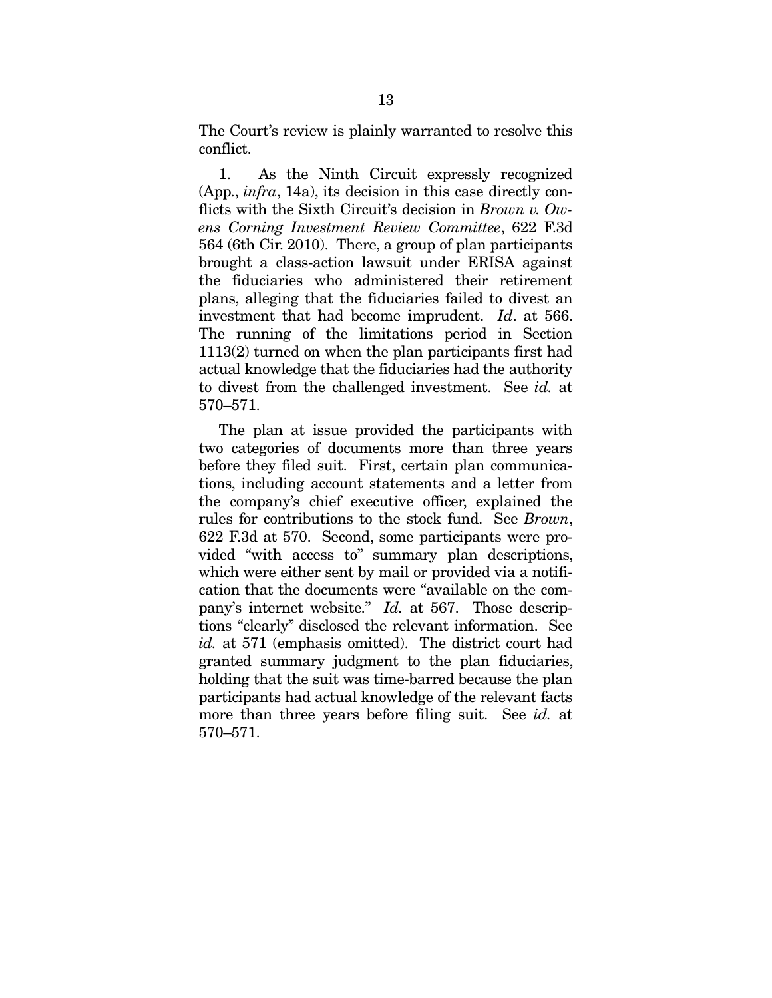The Court's review is plainly warranted to resolve this conflict.

1. As the Ninth Circuit expressly recognized (App., *infra*, 14a), its decision in this case directly conflicts with the Sixth Circuit's decision in *Brown v. Owens Corning Investment Review Committee*, 622 F.3d 564 (6th Cir. 2010). There, a group of plan participants brought a class-action lawsuit under ERISA against the fiduciaries who administered their retirement plans, alleging that the fiduciaries failed to divest an investment that had become imprudent. *Id*. at 566. The running of the limitations period in Section 1113(2) turned on when the plan participants first had actual knowledge that the fiduciaries had the authority to divest from the challenged investment. See *id.* at 570–571.

The plan at issue provided the participants with two categories of documents more than three years before they filed suit. First, certain plan communications, including account statements and a letter from the company's chief executive officer, explained the rules for contributions to the stock fund. See *Brown*, 622 F.3d at 570. Second, some participants were provided "with access to" summary plan descriptions, which were either sent by mail or provided via a notification that the documents were "available on the company's internet website." *Id.* at 567. Those descriptions "clearly" disclosed the relevant information. See *id.* at 571 (emphasis omitted). The district court had granted summary judgment to the plan fiduciaries, holding that the suit was time-barred because the plan participants had actual knowledge of the relevant facts more than three years before filing suit. See *id.* at 570–571.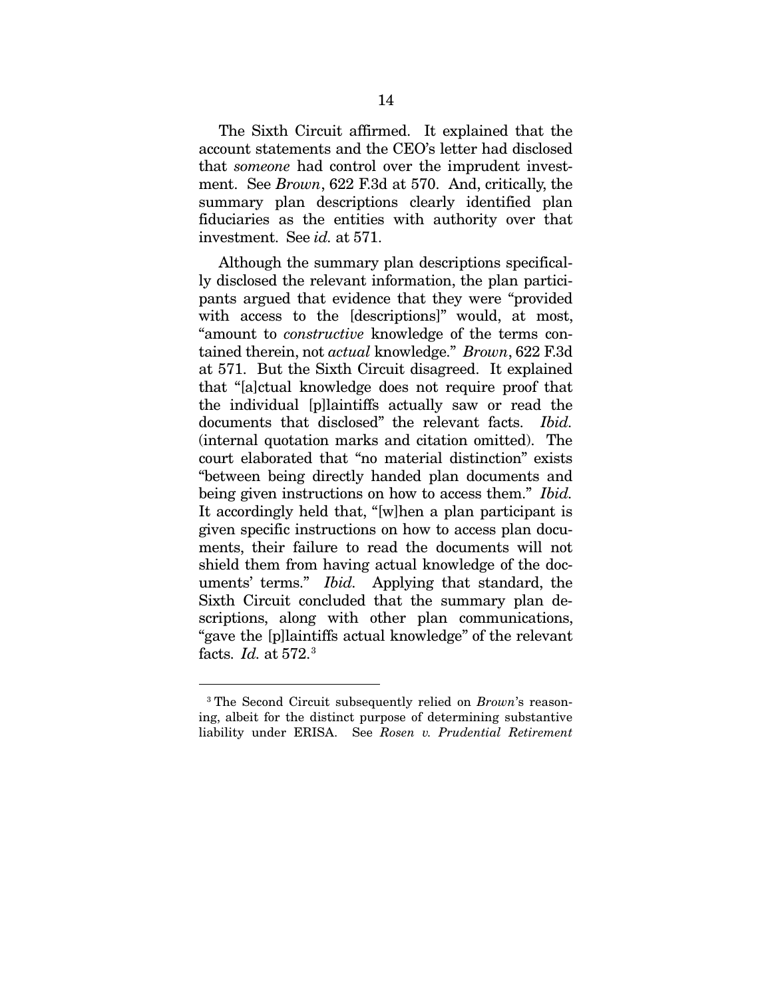The Sixth Circuit affirmed. It explained that the account statements and the CEO's letter had disclosed that *someone* had control over the imprudent investment. See *Brown*, 622 F.3d at 570. And, critically, the summary plan descriptions clearly identified plan fiduciaries as the entities with authority over that investment. See *id.* at 571.

Although the summary plan descriptions specifically disclosed the relevant information, the plan participants argued that evidence that they were "provided with access to the [descriptions]" would, at most, "amount to *constructive* knowledge of the terms contained therein, not *actual* knowledge." *Brown*, 622 F.3d at 571. But the Sixth Circuit disagreed. It explained that "[a]ctual knowledge does not require proof that the individual [p]laintiffs actually saw or read the documents that disclosed" the relevant facts. *Ibid.* (internal quotation marks and citation omitted). The court elaborated that "no material distinction" exists "between being directly handed plan documents and being given instructions on how to access them." *Ibid.* It accordingly held that, "[w]hen a plan participant is given specific instructions on how to access plan documents, their failure to read the documents will not shield them from having actual knowledge of the documents' terms." *Ibid.* Applying that standard, the Sixth Circuit concluded that the summary plan descriptions, along with other plan communications, "gave the [p]laintiffs actual knowledge" of the relevant facts. *Id.* at 572.[3](#page-24-0)

 <sup>3</sup> The Second Circuit subsequently relied on *Brown*'s reasoning, albeit for the distinct purpose of determining substantive liability under ERISA. See *Rosen v. Prudential Retirement*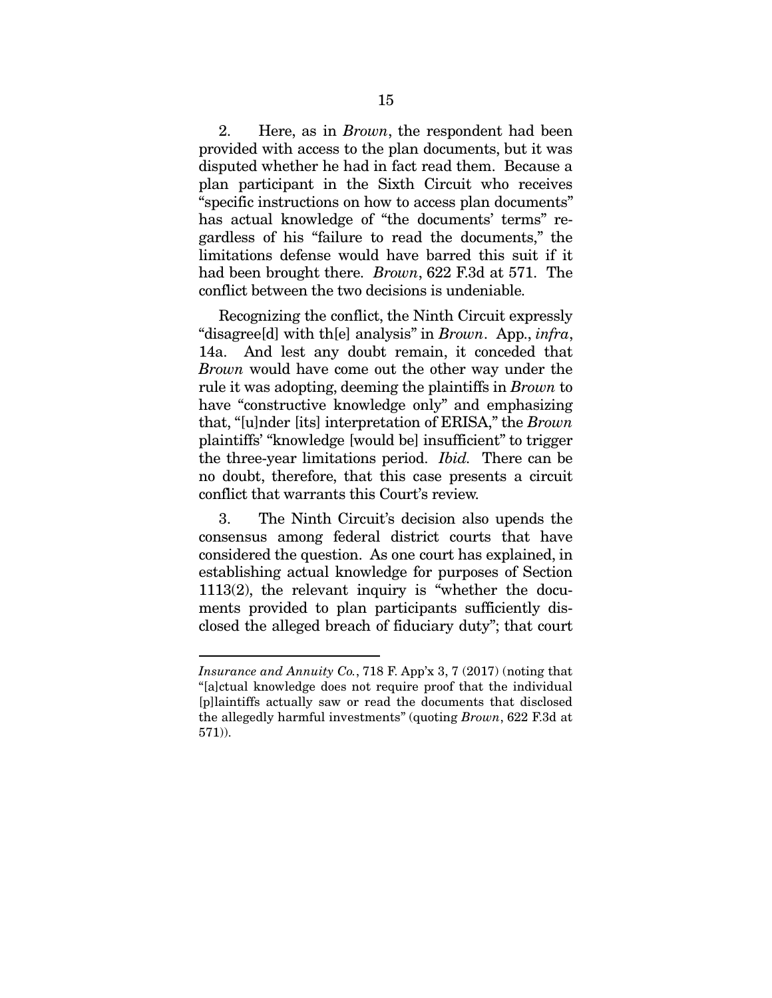2. Here, as in *Brown*, the respondent had been provided with access to the plan documents, but it was disputed whether he had in fact read them. Because a plan participant in the Sixth Circuit who receives "specific instructions on how to access plan documents" has actual knowledge of "the documents' terms" regardless of his "failure to read the documents," the limitations defense would have barred this suit if it had been brought there. *Brown*, 622 F.3d at 571. The conflict between the two decisions is undeniable.

Recognizing the conflict, the Ninth Circuit expressly "disagree[d] with th[e] analysis" in *Brown*. App., *infra*, 14a. And lest any doubt remain, it conceded that *Brown* would have come out the other way under the rule it was adopting, deeming the plaintiffs in *Brown* to have "constructive knowledge only" and emphasizing that, "[u]nder [its] interpretation of ERISA," the *Brown* plaintiffs' "knowledge [would be] insufficient" to trigger the three-year limitations period. *Ibid.* There can be no doubt, therefore, that this case presents a circuit conflict that warrants this Court's review.

3. The Ninth Circuit's decision also upends the consensus among federal district courts that have considered the question. As one court has explained, in establishing actual knowledge for purposes of Section 1113(2), the relevant inquiry is "whether the documents provided to plan participants sufficiently disclosed the alleged breach of fiduciary duty"; that court

<span id="page-24-0"></span> $\overline{a}$ 

*Insurance and Annuity Co.*, 718 F. App'x 3, 7 (2017) (noting that "[a]ctual knowledge does not require proof that the individual [p]laintiffs actually saw or read the documents that disclosed the allegedly harmful investments" (quoting *Brown*, 622 F.3d at 571)).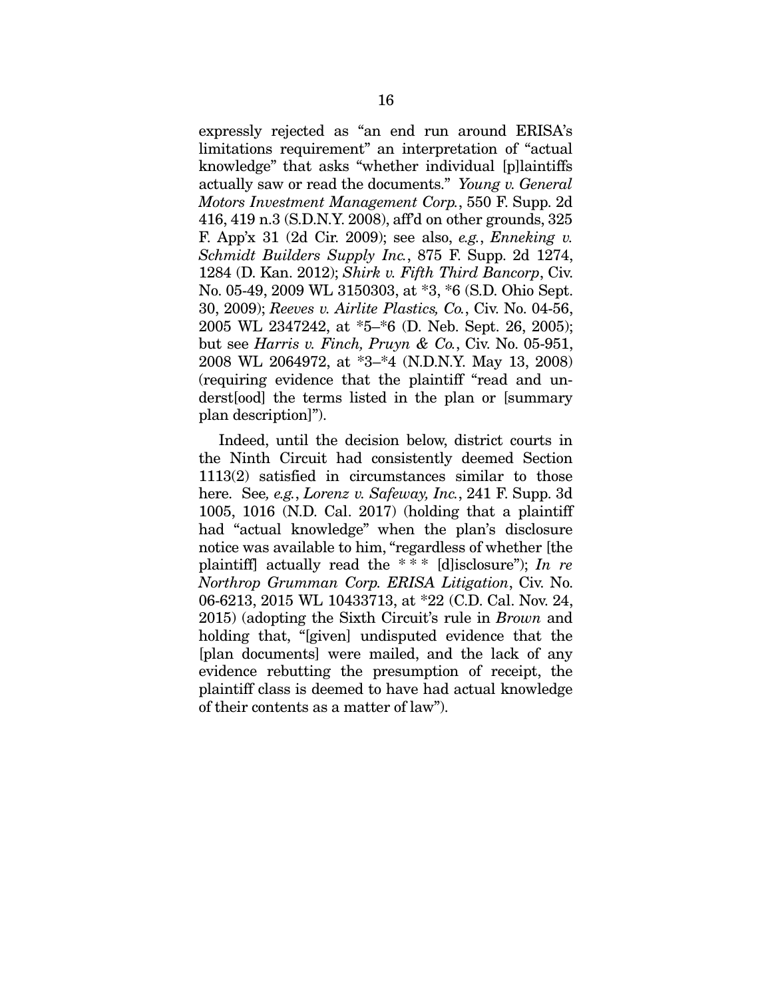expressly rejected as "an end run around ERISA's limitations requirement" an interpretation of "actual knowledge" that asks "whether individual [p]laintiffs actually saw or read the documents." *Young v. General Motors Investment Management Corp.*, 550 F. Supp. 2d 416, 419 n.3 (S.D.N.Y. 2008), aff'd on other grounds, 325 F. App'x 31 (2d Cir. 2009); see also, *e.g.*, *Enneking v. Schmidt Builders Supply Inc.*, 875 F. Supp. 2d 1274, 1284 (D. Kan. 2012); *Shirk v. Fifth Third Bancorp*, Civ. No. 05-49, 2009 WL 3150303, at \*3, \*6 (S.D. Ohio Sept. 30, 2009); *Reeves v. Airlite Plastics, Co.*, Civ. No. 04-56, 2005 WL 2347242, at \*5–\*6 (D. Neb. Sept. 26, 2005); but see *Harris v. Finch, Pruyn & Co.*, Civ. No. 05-951, 2008 WL 2064972, at \*3–\*4 (N.D.N.Y. May 13, 2008) (requiring evidence that the plaintiff "read and underst[ood] the terms listed in the plan or [summary plan description]").

Indeed, until the decision below, district courts in the Ninth Circuit had consistently deemed Section 1113(2) satisfied in circumstances similar to those here. See*, e.g.*, *Lorenz v. Safeway, Inc.*, 241 F. Supp. 3d 1005, 1016 (N.D. Cal. 2017) (holding that a plaintiff had "actual knowledge" when the plan's disclosure notice was available to him, "regardless of whether [the plaintiff] actually read the \* \* \* [d]isclosure"); *In re Northrop Grumman Corp. ERISA Litigation*, Civ. No. 06-6213, 2015 WL 10433713, at \*22 (C.D. Cal. Nov. 24, 2015) (adopting the Sixth Circuit's rule in *Brown* and holding that, "[given] undisputed evidence that the [plan documents] were mailed, and the lack of any evidence rebutting the presumption of receipt, the plaintiff class is deemed to have had actual knowledge of their contents as a matter of law").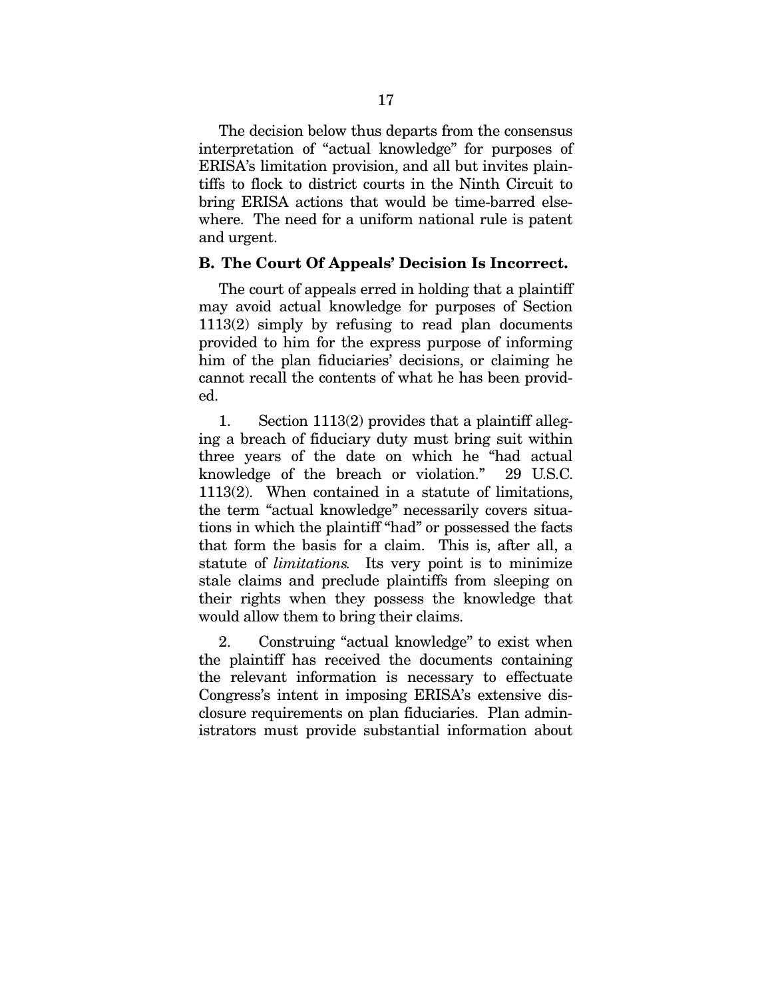The decision below thus departs from the consensus interpretation of "actual knowledge" for purposes of ERISA's limitation provision, and all but invites plaintiffs to flock to district courts in the Ninth Circuit to bring ERISA actions that would be time-barred elsewhere. The need for a uniform national rule is patent and urgent.

#### <span id="page-26-0"></span>B. The Court Of Appeals' Decision Is Incorrect.

The court of appeals erred in holding that a plaintiff may avoid actual knowledge for purposes of Section 1113(2) simply by refusing to read plan documents provided to him for the express purpose of informing him of the plan fiduciaries' decisions, or claiming he cannot recall the contents of what he has been provided.

1. Section 1113(2) provides that a plaintiff alleging a breach of fiduciary duty must bring suit within three years of the date on which he "had actual knowledge of the breach or violation." 29 U.S.C. 1113(2). When contained in a statute of limitations, the term "actual knowledge" necessarily covers situations in which the plaintiff "had" or possessed the facts that form the basis for a claim. This is, after all, a statute of *limitations.* Its very point is to minimize stale claims and preclude plaintiffs from sleeping on their rights when they possess the knowledge that would allow them to bring their claims.

2. Construing "actual knowledge" to exist when the plaintiff has received the documents containing the relevant information is necessary to effectuate Congress's intent in imposing ERISA's extensive disclosure requirements on plan fiduciaries. Plan administrators must provide substantial information about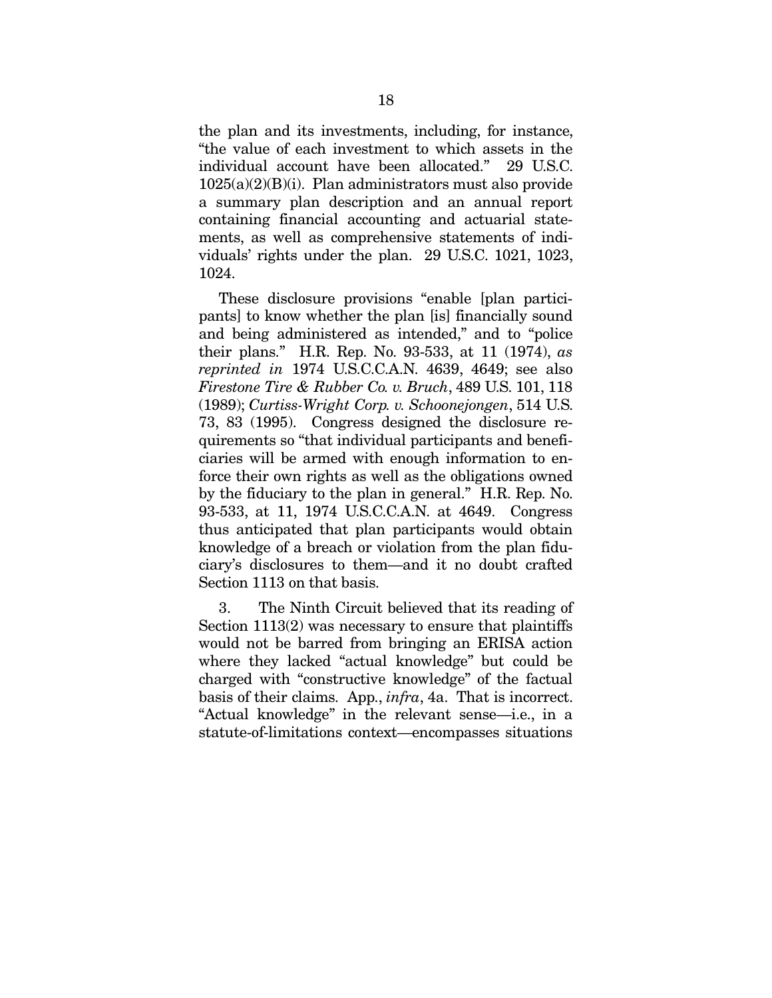the plan and its investments, including, for instance, "the value of each investment to which assets in the individual account have been allocated." 29 U.S.C.  $1025(a)(2)(B)(i)$ . Plan administrators must also provide a summary plan description and an annual report containing financial accounting and actuarial statements, as well as comprehensive statements of individuals' rights under the plan. 29 U.S.C. 1021, 1023, 1024.

These disclosure provisions "enable [plan participants] to know whether the plan [is] financially sound and being administered as intended," and to "police their plans." H.R. Rep. No. 93-533, at 11 (1974), *as reprinted in* 1974 U.S.C.C.A.N. 4639, 4649; see also *Firestone Tire & Rubber Co. v. Bruch*, 489 U.S. 101, 118 (1989); *Curtiss-Wright Corp. v. Schoonejongen*, 514 U.S. 73, 83 (1995). Congress designed the disclosure requirements so "that individual participants and beneficiaries will be armed with enough information to enforce their own rights as well as the obligations owned by the fiduciary to the plan in general." H.R. Rep. No. 93-533, at 11, 1974 U.S.C.C.A.N. at 4649. Congress thus anticipated that plan participants would obtain knowledge of a breach or violation from the plan fiduciary's disclosures to them—and it no doubt crafted Section 1113 on that basis.

3. The Ninth Circuit believed that its reading of Section 1113(2) was necessary to ensure that plaintiffs would not be barred from bringing an ERISA action where they lacked "actual knowledge" but could be charged with "constructive knowledge" of the factual basis of their claims. App., *infra*, 4a. That is incorrect. "Actual knowledge" in the relevant sense—i.e., in a statute-of-limitations context—encompasses situations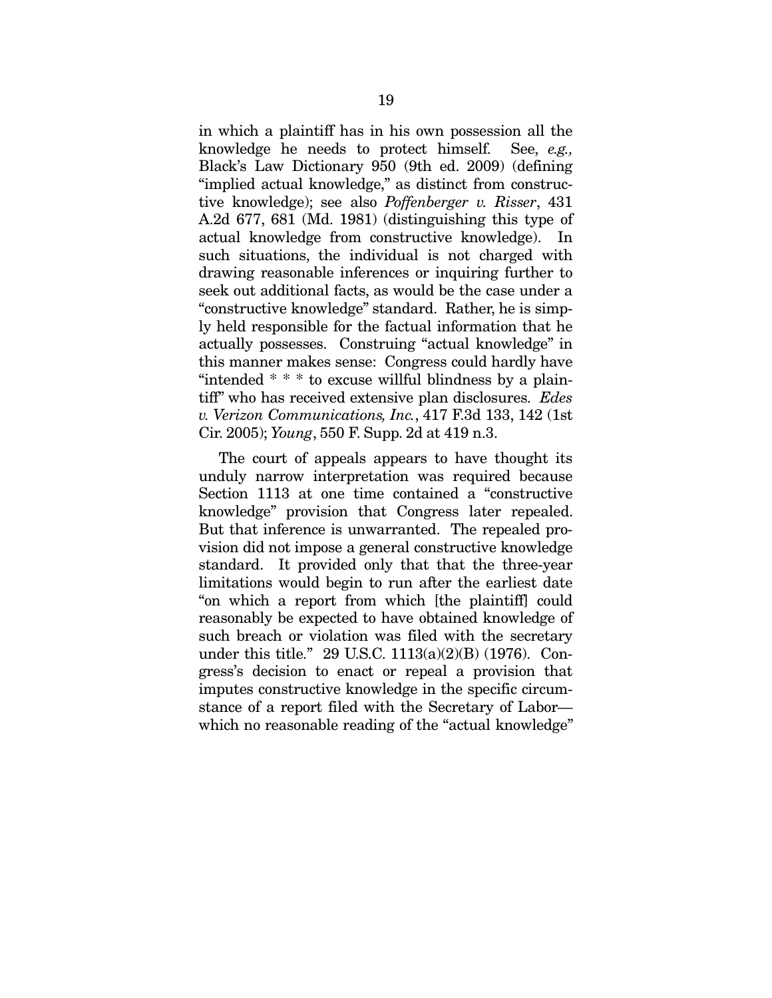in which a plaintiff has in his own possession all the knowledge he needs to protect himself. See, *e.g.,*  Black's Law Dictionary 950 (9th ed. 2009) (defining "implied actual knowledge," as distinct from constructive knowledge); see also *Poffenberger v. Risser*, 431 A.2d 677, 681 (Md. 1981) (distinguishing this type of actual knowledge from constructive knowledge). In such situations, the individual is not charged with drawing reasonable inferences or inquiring further to seek out additional facts, as would be the case under a "constructive knowledge" standard. Rather, he is simply held responsible for the factual information that he actually possesses. Construing "actual knowledge" in this manner makes sense: Congress could hardly have "intended \* \* \* to excuse willful blindness by a plaintiff" who has received extensive plan disclosures. *Edes v. Verizon Communications, Inc.*, 417 F.3d 133, 142 (1st Cir. 2005); *Young*, 550 F. Supp. 2d at 419 n.3.

The court of appeals appears to have thought its unduly narrow interpretation was required because Section 1113 at one time contained a "constructive knowledge" provision that Congress later repealed. But that inference is unwarranted. The repealed provision did not impose a general constructive knowledge standard. It provided only that that the three-year limitations would begin to run after the earliest date "on which a report from which [the plaintiff] could reasonably be expected to have obtained knowledge of such breach or violation was filed with the secretary under this title." 29 U.S.C. 1113(a)(2)(B) (1976). Congress's decision to enact or repeal a provision that imputes constructive knowledge in the specific circumstance of a report filed with the Secretary of Labor which no reasonable reading of the "actual knowledge"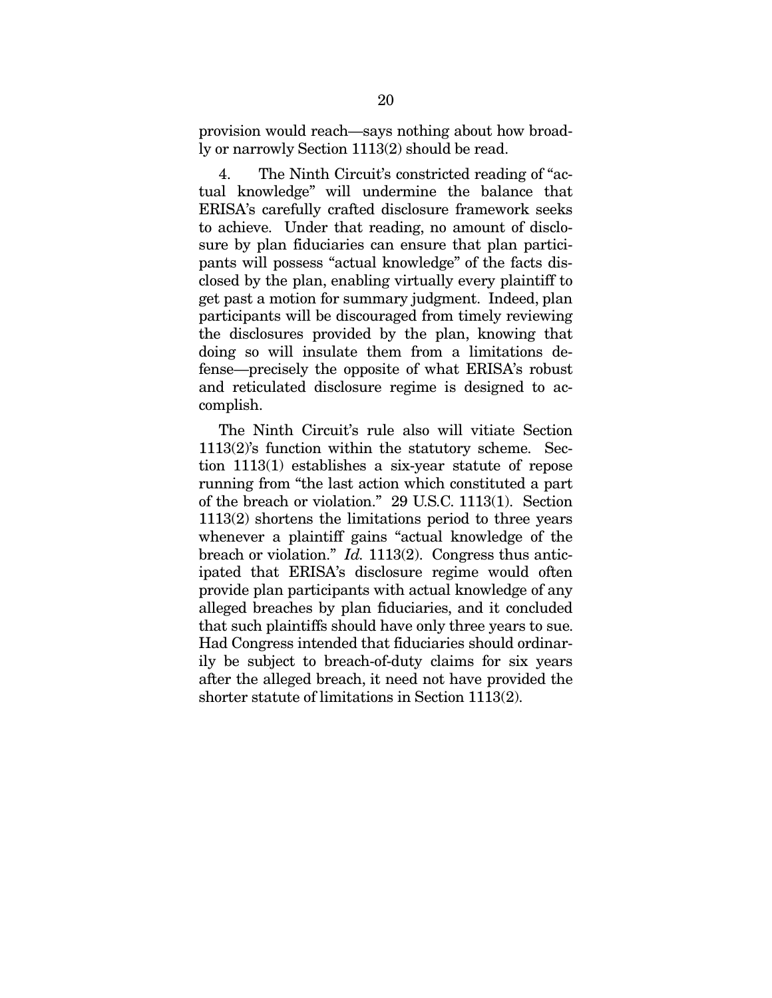provision would reach—says nothing about how broadly or narrowly Section 1113(2) should be read.

4. The Ninth Circuit's constricted reading of "actual knowledge" will undermine the balance that ERISA's carefully crafted disclosure framework seeks to achieve. Under that reading, no amount of disclosure by plan fiduciaries can ensure that plan participants will possess "actual knowledge" of the facts disclosed by the plan, enabling virtually every plaintiff to get past a motion for summary judgment. Indeed, plan participants will be discouraged from timely reviewing the disclosures provided by the plan, knowing that doing so will insulate them from a limitations defense—precisely the opposite of what ERISA's robust and reticulated disclosure regime is designed to accomplish.

The Ninth Circuit's rule also will vitiate Section 1113(2)'s function within the statutory scheme. Section 1113(1) establishes a six-year statute of repose running from "the last action which constituted a part of the breach or violation." 29 U.S.C. 1113(1). Section 1113(2) shortens the limitations period to three years whenever a plaintiff gains "actual knowledge of the breach or violation." *Id.* 1113(2). Congress thus anticipated that ERISA's disclosure regime would often provide plan participants with actual knowledge of any alleged breaches by plan fiduciaries, and it concluded that such plaintiffs should have only three years to sue. Had Congress intended that fiduciaries should ordinarily be subject to breach-of-duty claims for six years after the alleged breach, it need not have provided the shorter statute of limitations in Section 1113(2).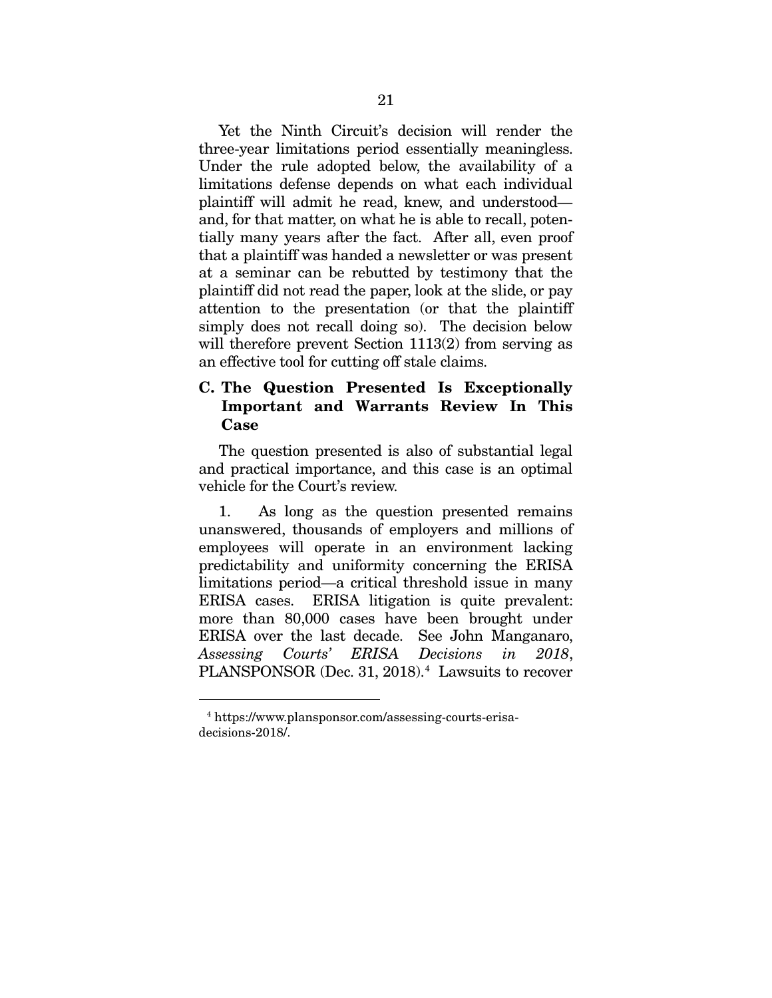Yet the Ninth Circuit's decision will render the three-year limitations period essentially meaningless. Under the rule adopted below, the availability of a limitations defense depends on what each individual plaintiff will admit he read, knew, and understood and, for that matter, on what he is able to recall, potentially many years after the fact. After all, even proof that a plaintiff was handed a newsletter or was present at a seminar can be rebutted by testimony that the plaintiff did not read the paper, look at the slide, or pay attention to the presentation (or that the plaintiff simply does not recall doing so). The decision below will therefore prevent Section 1113(2) from serving as an effective tool for cutting off stale claims.

## <span id="page-30-0"></span>C. The Question Presented Is Exceptionally Important and Warrants Review In This Case

The question presented is also of substantial legal and practical importance, and this case is an optimal vehicle for the Court's review.

1. As long as the question presented remains unanswered, thousands of employers and millions of employees will operate in an environment lacking predictability and uniformity concerning the ERISA limitations period—a critical threshold issue in many ERISA cases. ERISA litigation is quite prevalent: more than 80,000 cases have been brought under ERISA over the last decade. See John Manganaro, *Assessing Courts' ERISA Decisions in 2018*, PLANSPONSOR (Dec. 31, 2018).<sup>[4](#page-31-0)</sup> Lawsuits to recover

 <sup>4</sup> https://www.plansponsor.com/assessing-courts-erisadecisions-2018/.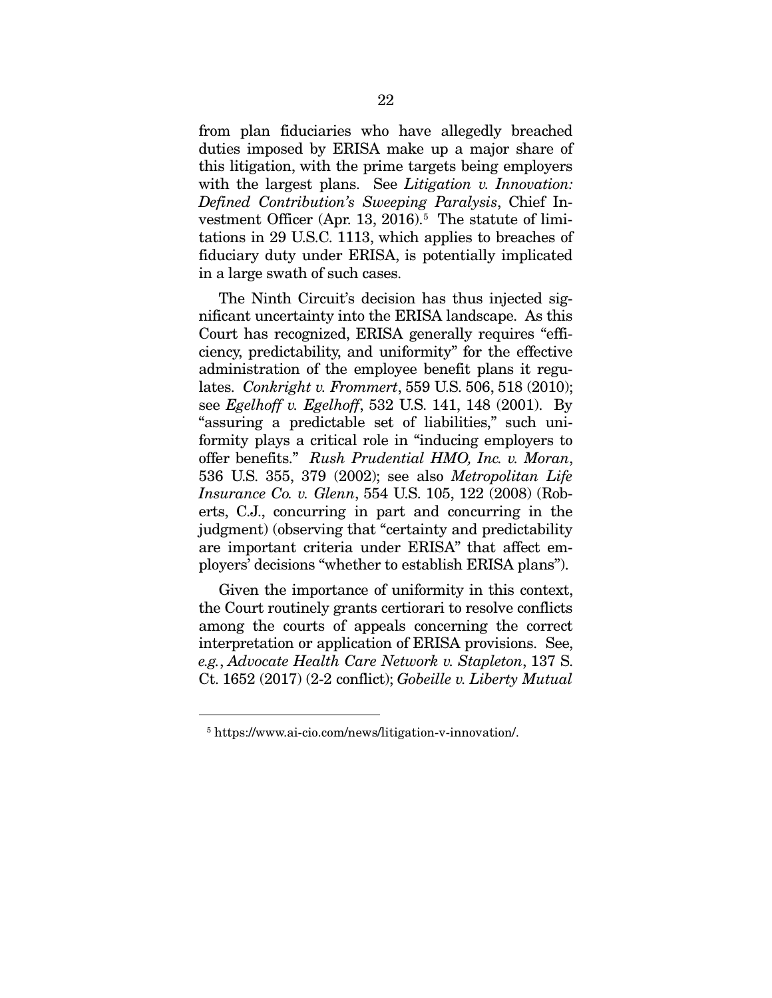from plan fiduciaries who have allegedly breached duties imposed by ERISA make up a major share of this litigation, with the prime targets being employers with the largest plans. See *Litigation v. Innovation: Defined Contribution's Sweeping Paralysis*, Chief In-vestment Officer (Apr. 13, 2016).<sup>[5](#page-31-1)</sup> The statute of limitations in 29 U.S.C. 1113, which applies to breaches of fiduciary duty under ERISA, is potentially implicated in a large swath of such cases.

The Ninth Circuit's decision has thus injected significant uncertainty into the ERISA landscape. As this Court has recognized, ERISA generally requires "efficiency, predictability, and uniformity" for the effective administration of the employee benefit plans it regulates. *Conkright v. Frommert*, 559 U.S. 506, 518 (2010); see *Egelhoff v. Egelhoff*, 532 U.S. 141, 148 (2001). By "assuring a predictable set of liabilities," such uniformity plays a critical role in "inducing employers to offer benefits." *Rush Prudential HMO, Inc. v. Moran*, 536 U.S. 355, 379 (2002); see also *Metropolitan Life Insurance Co. v. Glenn*, 554 U.S. 105, 122 (2008) (Roberts, C.J., concurring in part and concurring in the judgment) (observing that "certainty and predictability are important criteria under ERISA" that affect employers' decisions "whether to establish ERISA plans").

Given the importance of uniformity in this context, the Court routinely grants certiorari to resolve conflicts among the courts of appeals concerning the correct interpretation or application of ERISA provisions. See, *e.g.*, *Advocate Health Care Network v. Stapleton*, 137 S. Ct. 1652 (2017) (2-2 conflict); *Gobeille v. Liberty Mutual* 

<span id="page-31-1"></span><span id="page-31-0"></span> <sup>5</sup> https://www.ai-cio.com/news/litigation-v-innovation/.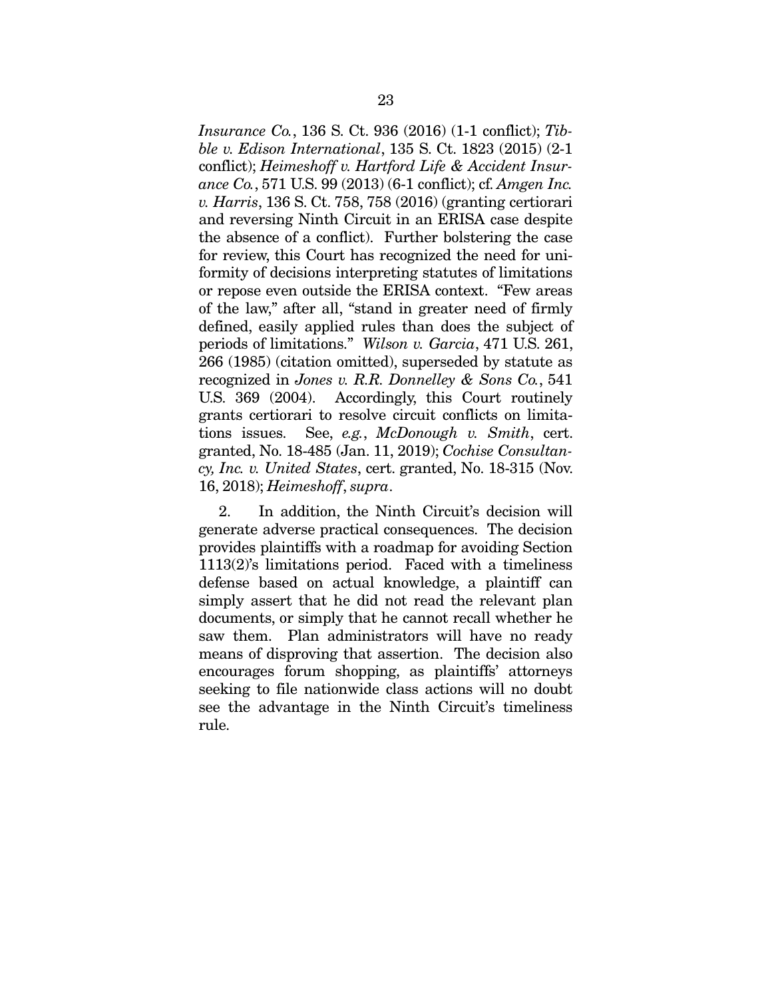*Insurance Co.*, 136 S. Ct. 936 (2016) (1-1 conflict); *Tibble v. Edison International*, 135 S. Ct. 1823 (2015) (2-1 conflict); *Heimeshoff v. Hartford Life & Accident Insurance Co.*, 571 U.S. 99 (2013) (6-1 conflict); cf. *Amgen Inc. v. Harris*, 136 S. Ct. 758, 758 (2016) (granting certiorari and reversing Ninth Circuit in an ERISA case despite the absence of a conflict). Further bolstering the case for review, this Court has recognized the need for uniformity of decisions interpreting statutes of limitations or repose even outside the ERISA context. "Few areas of the law," after all, "stand in greater need of firmly defined, easily applied rules than does the subject of periods of limitations." *Wilson v. Garcia*, 471 U.S. 261, 266 (1985) (citation omitted), superseded by statute as recognized in *Jones v. R.R. Donnelley & Sons Co.*, 541 U.S. 369 (2004). Accordingly, this Court routinely grants certiorari to resolve circuit conflicts on limitations issues. See, *e.g.*, *McDonough v. Smith*, cert. granted, No. 18-485 (Jan. 11, 2019); *Cochise Consultancy, Inc. v. United States*, cert. granted, No. 18-315 (Nov. 16, 2018); *Heimeshoff*, *supra*.

2. In addition, the Ninth Circuit's decision will generate adverse practical consequences. The decision provides plaintiffs with a roadmap for avoiding Section 1113(2)'s limitations period. Faced with a timeliness defense based on actual knowledge, a plaintiff can simply assert that he did not read the relevant plan documents, or simply that he cannot recall whether he saw them. Plan administrators will have no ready means of disproving that assertion. The decision also encourages forum shopping, as plaintiffs' attorneys seeking to file nationwide class actions will no doubt see the advantage in the Ninth Circuit's timeliness rule.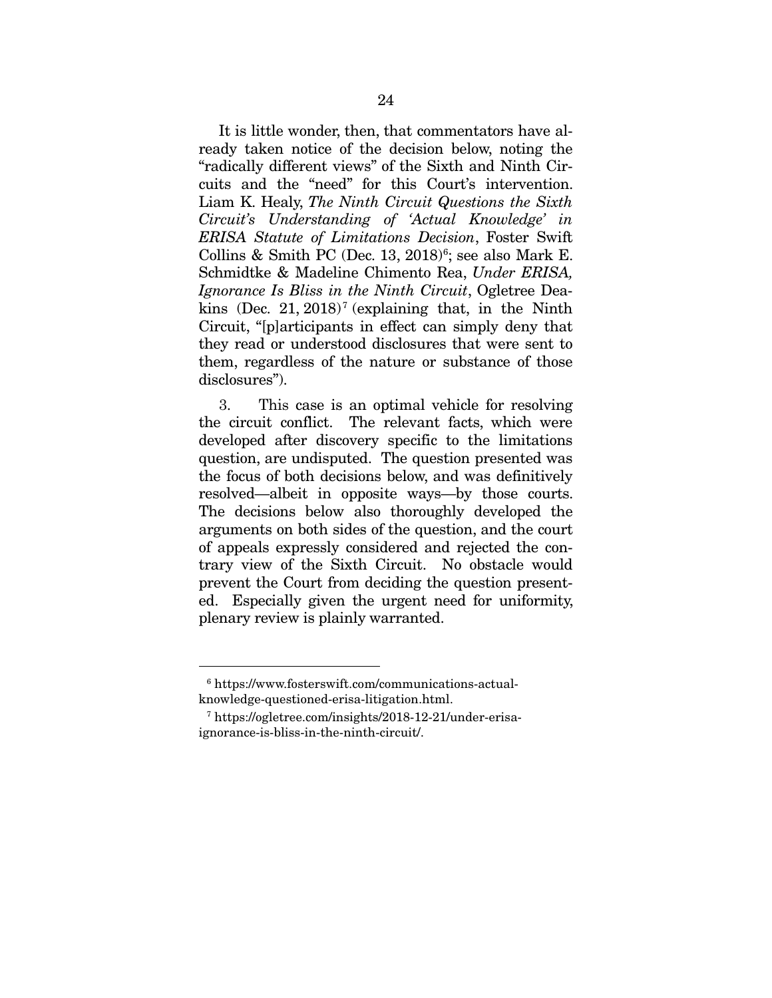It is little wonder, then, that commentators have already taken notice of the decision below, noting the "radically different views" of the Sixth and Ninth Circuits and the "need" for this Court's intervention. Liam K. Healy, *The Ninth Circuit Questions the Sixth Circuit's Understanding of 'Actual Knowledge' in ERISA Statute of Limitations Decision*, Foster Swift Collins & Smith PC (Dec.  $13, 2018$ <sup>[6](#page-33-0)</sup>; see also Mark E. Schmidtke & Madeline Chimento Rea, *Under ERISA, Ignorance Is Bliss in the Ninth Circuit*, Ogletree Dea-kins (Dec. 21, 2018)<sup>[7](#page-33-1)</sup> (explaining that, in the Ninth Circuit, "[p]articipants in effect can simply deny that they read or understood disclosures that were sent to them, regardless of the nature or substance of those disclosures").

3. This case is an optimal vehicle for resolving the circuit conflict. The relevant facts, which were developed after discovery specific to the limitations question, are undisputed. The question presented was the focus of both decisions below, and was definitively resolved—albeit in opposite ways—by those courts. The decisions below also thoroughly developed the arguments on both sides of the question, and the court of appeals expressly considered and rejected the contrary view of the Sixth Circuit. No obstacle would prevent the Court from deciding the question presented. Especially given the urgent need for uniformity, plenary review is plainly warranted.

<span id="page-33-0"></span> <sup>6</sup> https://www.fosterswift.com/communications-actualknowledge-questioned-erisa-litigation.html.

<span id="page-33-1"></span><sup>7</sup> https://ogletree.com/insights/2018-12-21/under-erisaignorance-is-bliss-in-the-ninth-circuit/.